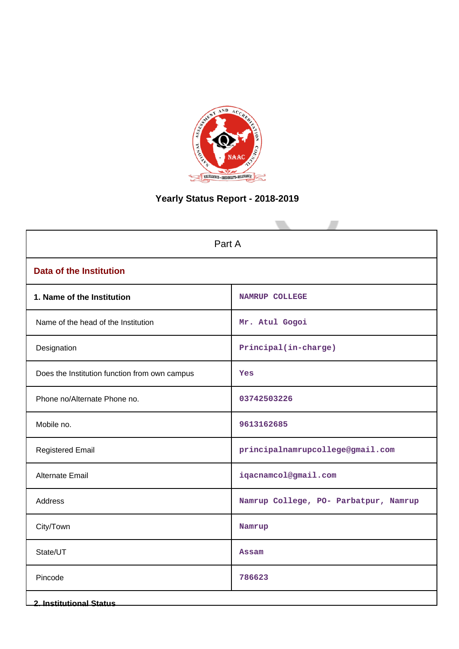

# **Yearly Status Report - 2018-2019**

| Part A                                        |                                       |  |  |
|-----------------------------------------------|---------------------------------------|--|--|
| <b>Data of the Institution</b>                |                                       |  |  |
| 1. Name of the Institution                    | NAMRUP COLLEGE                        |  |  |
| Name of the head of the Institution           | Mr. Atul Gogoi                        |  |  |
| Designation                                   | Principal(in-charge)                  |  |  |
| Does the Institution function from own campus | Yes                                   |  |  |
| Phone no/Alternate Phone no.                  | 03742503226                           |  |  |
| Mobile no.                                    | 9613162685                            |  |  |
| <b>Registered Email</b>                       | principalnamrupcollege@gmail.com      |  |  |
| <b>Alternate Email</b>                        | iqacnamcol@gmail.com                  |  |  |
| Address                                       | Namrup College, PO- Parbatpur, Namrup |  |  |
| City/Town                                     | Namrup                                |  |  |
| State/UT                                      | <b>Assam</b>                          |  |  |
| Pincode                                       | 786623                                |  |  |
| <b>2. Institutional Status</b>                |                                       |  |  |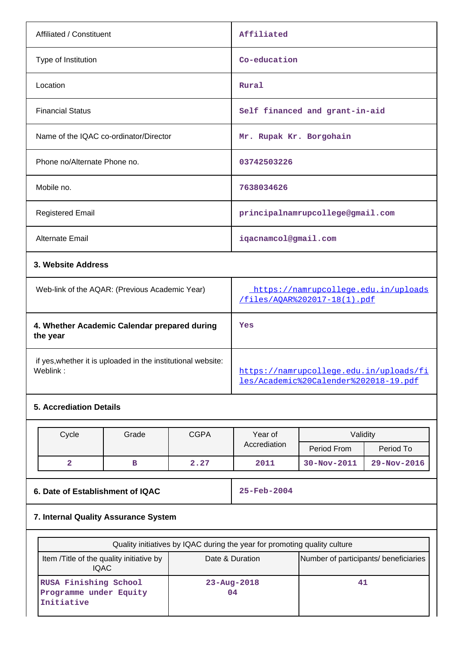| Affiliated / Constituent                                 | Affiliated                                                           |
|----------------------------------------------------------|----------------------------------------------------------------------|
| Type of Institution                                      | Co-education                                                         |
| Location                                                 | Rural                                                                |
| <b>Financial Status</b>                                  | Self financed and grant-in-aid                                       |
| Name of the IQAC co-ordinator/Director                   | Mr. Rupak Kr. Borgohain                                              |
| Phone no/Alternate Phone no.                             | 03742503226                                                          |
| Mobile no.                                               | 7638034626                                                           |
| <b>Registered Email</b>                                  | principalnamrupcollege@gmail.com                                     |
| <b>Alternate Email</b>                                   | iqacnamcol@gmail.com                                                 |
| 3. Website Address                                       |                                                                      |
| Web-link of the AQAR: (Previous Academic Year)           | https://namrupcollege.edu.in/uploads<br>/files/AOAR%202017-18(1).pdf |
| 4. Whether Academic Calendar prepared during<br>the year | Yes                                                                  |

if yes,whether it is uploaded in the institutional website:

## **5. Accrediation Details**

| Cycle | Grade | <b>CGPA</b> | Year of      | Validitv          |                   |
|-------|-------|-------------|--------------|-------------------|-------------------|
|       |       |             | Accrediation | Period From       | Period To         |
| -     |       | 2.27        | 2011         | $30 - Nov - 2011$ | $29 - Nov - 2016$ |

**6. Date of Establishment of IQAC 25-Feb-2004**

[https://namrupcollege.edu.in/uploads/fi](https://namrupcollege.edu.in/uploads/files/Academic%20Calender%202018-19.pdf) [les/Academic%20Calender%202018-19.pdf](https://namrupcollege.edu.in/uploads/files/Academic%20Calender%202018-19.pdf)

## **7. Internal Quality Assurance System**

| Quality initiatives by IQAC during the year for promoting quality culture |                                       |    |  |  |
|---------------------------------------------------------------------------|---------------------------------------|----|--|--|
| Item / Title of the quality initiative by<br>IQAC.                        | Number of participants/ beneficiaries |    |  |  |
| RUSA Finishing School<br>Programme under Equity<br>Initiative             | $23 - Aug - 2018$<br>04               | 41 |  |  |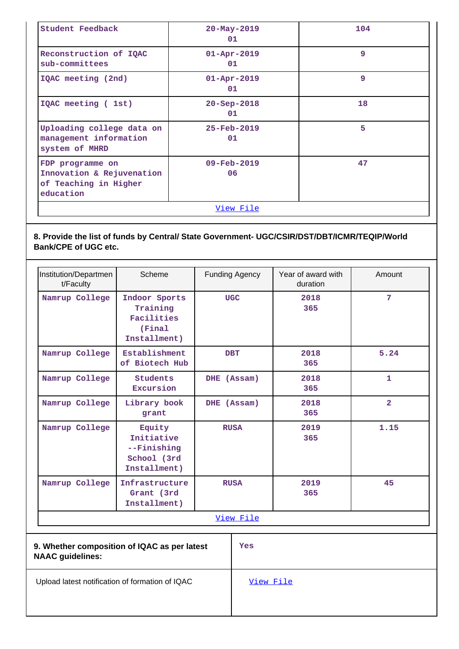| Student Feedback                                                                    | $20 - May - 2019$<br>01              | 104 |  |
|-------------------------------------------------------------------------------------|--------------------------------------|-----|--|
| Reconstruction of IQAC<br>sub-committees                                            | $01 - Apr - 2019$<br>01              | 9   |  |
| IQAC meeting (2nd)                                                                  | $01 - Apr - 2019$<br>01              | 9   |  |
| IQAC meeting (1st)                                                                  | $20 - Sep - 2018$<br>01              | 18  |  |
| Uploading college data on<br>management information<br>system of MHRD               | $25 - Feb - 2019$<br>01              | 5   |  |
| FDP programme on<br>Innovation & Rejuvenation<br>of Teaching in Higher<br>education | 47<br>$09 - \text{Feb} - 2019$<br>06 |     |  |
| View File                                                                           |                                      |     |  |

## **8. Provide the list of funds by Central/ State Government- UGC/CSIR/DST/DBT/ICMR/TEQIP/World Bank/CPE of UGC etc.**

| Institution/Departmen<br>t/Faculty                                      | Scheme                                                             | <b>Funding Agency</b> |           | Year of award with<br>duration | Amount         |
|-------------------------------------------------------------------------|--------------------------------------------------------------------|-----------------------|-----------|--------------------------------|----------------|
| Namrup College                                                          | Indoor Sports<br>Training<br>Facilities<br>(Final<br>Installment)  | <b>UGC</b>            |           | 2018<br>365                    | 7              |
| Namrup College                                                          | Establishment<br>of Biotech Hub                                    | <b>DBT</b>            |           | 2018<br>365                    | 5.24           |
| Namrup College                                                          | <b>Students</b><br>Excursion                                       | DHE (Assam)           |           | 2018<br>365                    | 1              |
| Namrup College                                                          | Library book<br>grant                                              | DHE (Assam)           |           | 2018<br>365                    | $\overline{2}$ |
| Namrup College                                                          | Equity<br>Initiative<br>--Finishing<br>School (3rd<br>Installment) | <b>RUSA</b>           |           | 2019<br>365                    | 1.15           |
| Namrup College                                                          | Infrastructure<br>Grant (3rd<br>Installment)                       | <b>RUSA</b>           |           | 2019<br>365                    | 45             |
|                                                                         |                                                                    |                       | View File |                                |                |
| 9. Whether composition of IQAC as per latest<br><b>NAAC</b> guidelines: |                                                                    |                       | Yes       |                                |                |
| Upload latest notification of formation of IQAC                         |                                                                    |                       | View File |                                |                |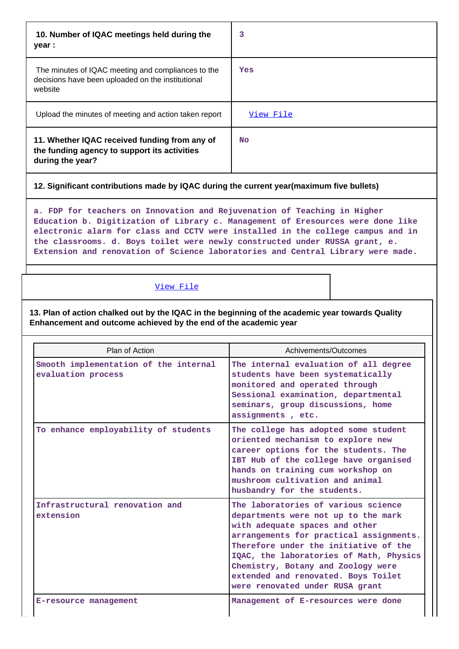| 10. Number of IQAC meetings held during the<br>year :                                                              | 3         |
|--------------------------------------------------------------------------------------------------------------------|-----------|
| The minutes of IQAC meeting and compliances to the<br>decisions have been uploaded on the institutional<br>website | Yes       |
| Upload the minutes of meeting and action taken report                                                              | View File |
| 11. Whether IQAC received funding from any of<br>the funding agency to support its activities<br>during the year?  | No.       |

## **12. Significant contributions made by IQAC during the current year(maximum five bullets)**

**a. FDP for teachers on Innovation and Rejuvenation of Teaching in Higher Education b. Digitization of Library c. Management of Eresources were done like electronic alarm for class and CCTV were installed in the college campus and in the classrooms. d. Boys toilet were newly constructed under RUSSA grant, e. Extension and renovation of Science laboratories and Central Library were made.**

#### [View File](https://assessmentonline.naac.gov.in/public/Postacc/Contribution/9162_Contribution.xlsx)

**13. Plan of action chalked out by the IQAC in the beginning of the academic year towards Quality Enhancement and outcome achieved by the end of the academic year**

| Plan of Action                                              | Achivements/Outcomes                                                                                                                                                                                                                                                                                                                                        |
|-------------------------------------------------------------|-------------------------------------------------------------------------------------------------------------------------------------------------------------------------------------------------------------------------------------------------------------------------------------------------------------------------------------------------------------|
| Smooth implementation of the internal<br>evaluation process | The internal evaluation of all degree<br>students have been systematically<br>monitored and operated through<br>Sessional examination, departmental<br>seminars, group discussions, home<br>assignments, etc.                                                                                                                                               |
| To enhance employability of students                        | The college has adopted some student<br>oriented mechanism to explore new<br>career options for the students. The<br>IBT Hub of the college have organised<br>hands on training cum workshop on<br>mushroom cultivation and animal<br>husbandry for the students.                                                                                           |
| Infrastructural renovation and<br>extension                 | The laboratories of various science<br>departments were not up to the mark<br>with adequate spaces and other<br>arrangements for practical assignments.<br>Therefore under the initiative of the<br>IQAC, the laboratories of Math, Physics<br>Chemistry, Botany and Zoology were<br>extended and renovated. Boys Toilet<br>were renovated under RUSA grant |
| E-resource management                                       | Management of E-resources were done                                                                                                                                                                                                                                                                                                                         |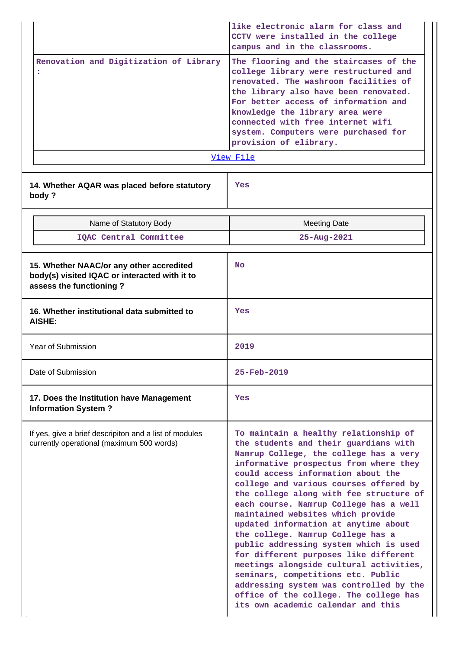|                    |                                                                                                                      | like electronic alarm for class and<br>CCTV were installed in the college<br>campus and in the classrooms.                                                                                                                                                                                                                                                                                                                                                                                                                                                                                                                                                                                                                                               |  |  |
|--------------------|----------------------------------------------------------------------------------------------------------------------|----------------------------------------------------------------------------------------------------------------------------------------------------------------------------------------------------------------------------------------------------------------------------------------------------------------------------------------------------------------------------------------------------------------------------------------------------------------------------------------------------------------------------------------------------------------------------------------------------------------------------------------------------------------------------------------------------------------------------------------------------------|--|--|
|                    | Renovation and Digitization of Library<br>:                                                                          | The flooring and the staircases of the<br>college library were restructured and<br>renovated. The washroom facilities of<br>the library also have been renovated.<br>For better access of information and<br>knowledge the library area were<br>connected with free internet wifi<br>system. Computers were purchased for<br>provision of elibrary.<br>View File                                                                                                                                                                                                                                                                                                                                                                                         |  |  |
|                    | 14. Whether AQAR was placed before statutory<br>body?                                                                | Yes                                                                                                                                                                                                                                                                                                                                                                                                                                                                                                                                                                                                                                                                                                                                                      |  |  |
|                    | Name of Statutory Body                                                                                               | <b>Meeting Date</b>                                                                                                                                                                                                                                                                                                                                                                                                                                                                                                                                                                                                                                                                                                                                      |  |  |
|                    | IQAC Central Committee                                                                                               | 25-Aug-2021                                                                                                                                                                                                                                                                                                                                                                                                                                                                                                                                                                                                                                                                                                                                              |  |  |
|                    | 15. Whether NAAC/or any other accredited<br>body(s) visited IQAC or interacted with it to<br>assess the functioning? | <b>No</b>                                                                                                                                                                                                                                                                                                                                                                                                                                                                                                                                                                                                                                                                                                                                                |  |  |
|                    | 16. Whether institutional data submitted to<br><b>AISHE:</b>                                                         | Yes                                                                                                                                                                                                                                                                                                                                                                                                                                                                                                                                                                                                                                                                                                                                                      |  |  |
| Year of Submission |                                                                                                                      | 2019                                                                                                                                                                                                                                                                                                                                                                                                                                                                                                                                                                                                                                                                                                                                                     |  |  |
| Date of Submission |                                                                                                                      | 25-Feb-2019                                                                                                                                                                                                                                                                                                                                                                                                                                                                                                                                                                                                                                                                                                                                              |  |  |
|                    | 17. Does the Institution have Management<br><b>Information System?</b>                                               | Yes                                                                                                                                                                                                                                                                                                                                                                                                                                                                                                                                                                                                                                                                                                                                                      |  |  |
|                    | If yes, give a brief descripiton and a list of modules<br>currently operational (maximum 500 words)                  | To maintain a healthy relationship of<br>the students and their guardians with<br>Namrup College, the college has a very<br>informative prospectus from where they<br>could access information about the<br>college and various courses offered by<br>the college along with fee structure of<br>each course. Namrup College has a well<br>maintained websites which provide<br>updated information at anytime about<br>the college. Namrup College has a<br>public addressing system which is used<br>for different purposes like different<br>meetings alongside cultural activities,<br>seminars, competitions etc. Public<br>addressing system was controlled by the<br>office of the college. The college has<br>its own academic calendar and this |  |  |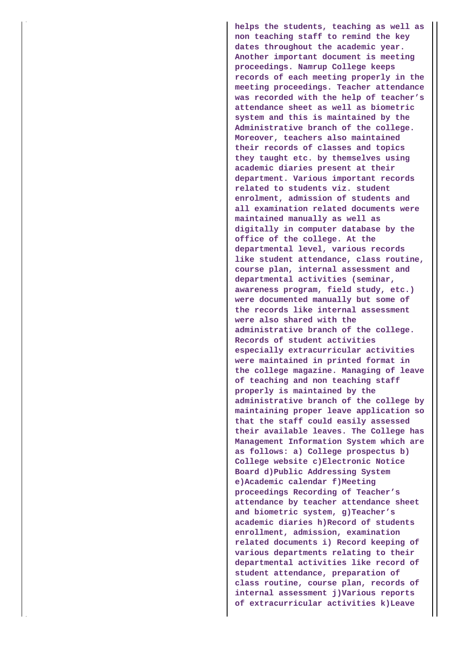**helps the students, teaching as well as non teaching staff to remind the key dates throughout the academic year. Another important document is meeting proceedings. Namrup College keeps records of each meeting properly in the meeting proceedings. Teacher attendance was recorded with the help of teacher's attendance sheet as well as biometric system and this is maintained by the Administrative branch of the college. Moreover, teachers also maintained their records of classes and topics they taught etc. by themselves using academic diaries present at their department. Various important records related to students viz. student enrolment, admission of students and all examination related documents were maintained manually as well as digitally in computer database by the office of the college. At the departmental level, various records like student attendance, class routine, course plan, internal assessment and departmental activities (seminar, awareness program, field study, etc.) were documented manually but some of the records like internal assessment were also shared with the administrative branch of the college. Records of student activities especially extracurricular activities were maintained in printed format in the college magazine. Managing of leave of teaching and non teaching staff properly is maintained by the administrative branch of the college by maintaining proper leave application so that the staff could easily assessed their available leaves. The College has Management Information System which are as follows: a) College prospectus b) College website c)Electronic Notice Board d)Public Addressing System e)Academic calendar f)Meeting proceedings Recording of Teacher's attendance by teacher attendance sheet and biometric system, g)Teacher's academic diaries h)Record of students enrollment, admission, examination related documents i) Record keeping of various departments relating to their departmental activities like record of student attendance, preparation of class routine, course plan, records of internal assessment j)Various reports of extracurricular activities k)Leave**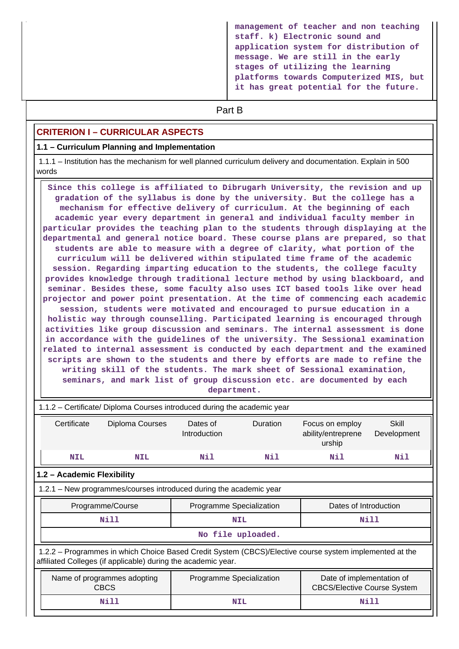**management of teacher and non teaching staff. k) Electronic sound and application system for distribution of message. We are still in the early stages of utilizing the learning platforms towards Computerized MIS, but it has great potential for the future.**

# **Part B**

## **CRITERION I – CURRICULAR ASPECTS**

#### **1.1 – Curriculum Planning and Implementation**

 1.1.1 – Institution has the mechanism for well planned curriculum delivery and documentation. Explain in 500 words

 **Since this college is affiliated to Dibrugarh University, the revision and up gradation of the syllabus is done by the university. But the college has a mechanism for effective delivery of curriculum. At the beginning of each academic year every department in general and individual faculty member in particular provides the teaching plan to the students through displaying at the departmental and general notice board. These course plans are prepared, so that students are able to measure with a degree of clarity, what portion of the curriculum will be delivered within stipulated time frame of the academic session. Regarding imparting education to the students, the college faculty provides knowledge through traditional lecture method by using blackboard, and seminar. Besides these, some faculty also uses ICT based tools like over head projector and power point presentation. At the time of commencing each academic session, students were motivated and encouraged to pursue education in a holistic way through counselling. Participated learning is encouraged through activities like group discussion and seminars. The internal assessment is done in accordance with the guidelines of the university. The Sessional examination related to internal assessment is conducted by each department and the examined scripts are shown to the students and there by efforts are made to refine the writing skill of the students. The mark sheet of Sessional examination, seminars, and mark list of group discussion etc. are documented by each department.**

|                                                                       | 1.1.2 – Certificate/ Diploma Courses introduced during the academic year                                                                                                 |                                            |                          |            |                                                                 |                      |
|-----------------------------------------------------------------------|--------------------------------------------------------------------------------------------------------------------------------------------------------------------------|--------------------------------------------|--------------------------|------------|-----------------------------------------------------------------|----------------------|
|                                                                       | Certificate                                                                                                                                                              | Diploma Courses                            | Dates of<br>Introduction | Duration   | Focus on employ<br>ability/entreprene<br>urship                 | Skill<br>Development |
|                                                                       | <b>NIL</b>                                                                                                                                                               | <b>NIL</b>                                 | Nil                      | Nil        | Nil                                                             | Nil                  |
|                                                                       | 1.2 - Academic Flexibility                                                                                                                                               |                                            |                          |            |                                                                 |                      |
|                                                                       | 1.2.1 – New programmes/courses introduced during the academic year                                                                                                       |                                            |                          |            |                                                                 |                      |
| Programme Specialization<br>Dates of Introduction<br>Programme/Course |                                                                                                                                                                          |                                            |                          |            |                                                                 |                      |
| Nill<br><b>NIL</b>                                                    |                                                                                                                                                                          |                                            | Nill                     |            |                                                                 |                      |
|                                                                       | No file uploaded.                                                                                                                                                        |                                            |                          |            |                                                                 |                      |
|                                                                       | 1.2.2 – Programmes in which Choice Based Credit System (CBCS)/Elective course system implemented at the<br>affiliated Colleges (if applicable) during the academic year. |                                            |                          |            |                                                                 |                      |
|                                                                       |                                                                                                                                                                          | Name of programmes adopting<br><b>CBCS</b> | Programme Specialization |            | Date of implementation of<br><b>CBCS/Elective Course System</b> |                      |
|                                                                       |                                                                                                                                                                          | Nill                                       |                          | <b>NIL</b> | Nill                                                            |                      |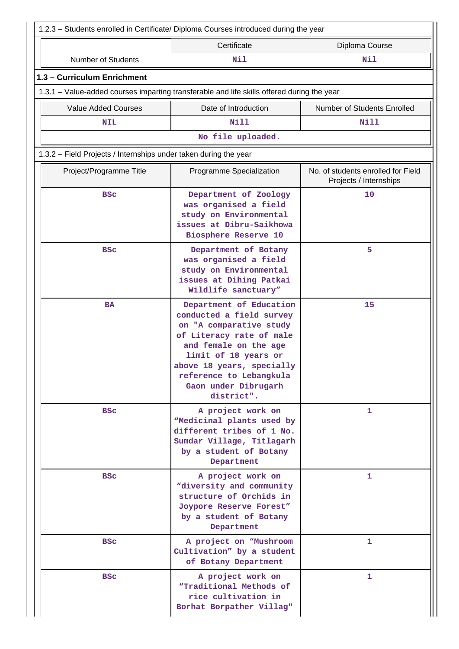| 1.2.3 - Students enrolled in Certificate/ Diploma Courses introduced during the year       |                                                                                                                                                                                                                                                           |                                                              |  |  |  |  |
|--------------------------------------------------------------------------------------------|-----------------------------------------------------------------------------------------------------------------------------------------------------------------------------------------------------------------------------------------------------------|--------------------------------------------------------------|--|--|--|--|
|                                                                                            | Certificate                                                                                                                                                                                                                                               | Diploma Course                                               |  |  |  |  |
| <b>Number of Students</b>                                                                  | <b>Nil</b>                                                                                                                                                                                                                                                | Nil                                                          |  |  |  |  |
| 1.3 - Curriculum Enrichment                                                                |                                                                                                                                                                                                                                                           |                                                              |  |  |  |  |
| 1.3.1 – Value-added courses imparting transferable and life skills offered during the year |                                                                                                                                                                                                                                                           |                                                              |  |  |  |  |
| <b>Value Added Courses</b>                                                                 | Date of Introduction                                                                                                                                                                                                                                      | Number of Students Enrolled                                  |  |  |  |  |
| <b>NIL</b>                                                                                 | Nill                                                                                                                                                                                                                                                      | Nill                                                         |  |  |  |  |
|                                                                                            | No file uploaded.                                                                                                                                                                                                                                         |                                                              |  |  |  |  |
| 1.3.2 - Field Projects / Internships under taken during the year                           |                                                                                                                                                                                                                                                           |                                                              |  |  |  |  |
| Project/Programme Title                                                                    | Programme Specialization                                                                                                                                                                                                                                  | No. of students enrolled for Field<br>Projects / Internships |  |  |  |  |
| <b>BSC</b>                                                                                 | Department of Zoology<br>was organised a field<br>study on Environmental<br>issues at Dibru-Saikhowa<br>Biosphere Reserve 10                                                                                                                              | 10                                                           |  |  |  |  |
| <b>BSC</b>                                                                                 | Department of Botany<br>was organised a field<br>study on Environmental<br>issues at Dihing Patkai<br>Wildlife sanctuary"                                                                                                                                 | 5                                                            |  |  |  |  |
| <b>BA</b>                                                                                  | Department of Education<br>conducted a field survey<br>on "A comparative study<br>of Literacy rate of male<br>and female on the age<br>limit of 18 years or<br>above 18 years, specially<br>reference to Lebangkula<br>Gaon under Dibrugarh<br>district". | 15                                                           |  |  |  |  |
| <b>BSC</b>                                                                                 | A project work on<br>"Medicinal plants used by<br>different tribes of 1 No.<br>Sumdar Village, Titlagarh<br>by a student of Botany<br>Department                                                                                                          | 1                                                            |  |  |  |  |
| <b>BSC</b>                                                                                 | A project work on<br>"diversity and community<br>structure of Orchids in<br>Joypore Reserve Forest"<br>by a student of Botany<br>Department                                                                                                               | 1                                                            |  |  |  |  |
| <b>BSC</b>                                                                                 | A project on "Mushroom<br>Cultivation" by a student<br>of Botany Department                                                                                                                                                                               | 1                                                            |  |  |  |  |
| <b>BSC</b>                                                                                 | A project work on<br>"Traditional Methods of<br>rice cultivation in<br>Borhat Borpather Villag"                                                                                                                                                           | 1                                                            |  |  |  |  |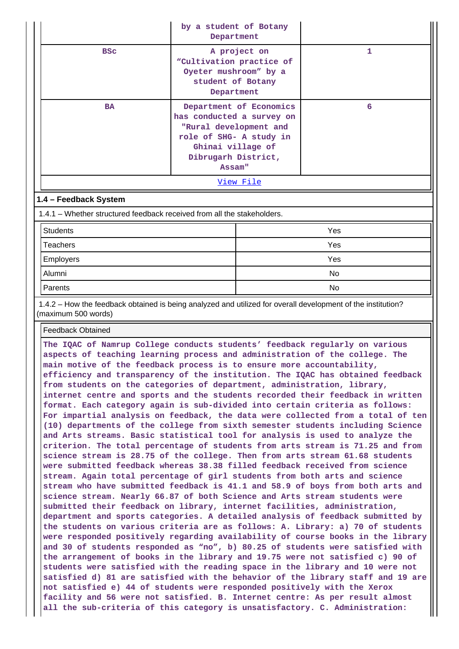|                                                                         | by a student of Botany<br>Department<br>A project on<br>"Cultivation practice of<br>Oyeter mushroom" by a<br>student of Botany<br>Department                    |           |              |  |
|-------------------------------------------------------------------------|-----------------------------------------------------------------------------------------------------------------------------------------------------------------|-----------|--------------|--|
| <b>BSC</b>                                                              |                                                                                                                                                                 |           | $\mathbf{1}$ |  |
| <b>BA</b>                                                               | Department of Economics<br>has conducted a survey on<br>"Rural development and<br>role of SHG- A study in<br>Ghinai village of<br>Dibrugarh District,<br>Assam" |           | 6            |  |
|                                                                         |                                                                                                                                                                 | View File |              |  |
| 1.4 - Feedback System                                                   |                                                                                                                                                                 |           |              |  |
| 1.4.1 – Whether structured feedback received from all the stakeholders. |                                                                                                                                                                 |           |              |  |
| <b>Students</b>                                                         |                                                                                                                                                                 | Yes       |              |  |
| Teachers                                                                |                                                                                                                                                                 | Yes       |              |  |
| <b>Employers</b>                                                        |                                                                                                                                                                 | Yes       |              |  |
| Alumni                                                                  |                                                                                                                                                                 | No        |              |  |

 1.4.2 – How the feedback obtained is being analyzed and utilized for overall development of the institution? (maximum 500 words)

Parents No. 2006. In the set of the set of the set of the set of the set of the set of the set of the set of t

#### Feedback Obtained

**The IQAC of Namrup College conducts students' feedback regularly on various aspects of teaching learning process and administration of the college. The main motive of the feedback process is to ensure more accountability, efficiency and transparency of the institution. The IQAC has obtained feedback from students on the categories of department, administration, library, internet centre and sports and the students recorded their feedback in written format. Each category again is sub-divided into certain criteria as follows: For impartial analysis on feedback, the data were collected from a total of ten (10) departments of the college from sixth semester students including Science and Arts streams. Basic statistical tool for analysis is used to analyze the criterion. The total percentage of students from arts stream is 71.25 and from science stream is 28.75 of the college. Then from arts stream 61.68 students were submitted feedback whereas 38.38 filled feedback received from science stream. Again total percentage of girl students from both arts and science stream who have submitted feedback is 41.1 and 58.9 of boys from both arts and science stream. Nearly 66.87 of both Science and Arts stream students were submitted their feedback on library, internet facilities, administration, department and sports categories. A detailed analysis of feedback submitted by the students on various criteria are as follows: A. Library: a) 70 of students were responded positively regarding availability of course books in the library and 30 of students responded as "no", b) 80.25 of students were satisfied with the arrangement of books in the library and 19.75 were not satisfied c) 90 of students were satisfied with the reading space in the library and 10 were not satisfied d) 81 are satisfied with the behavior of the library staff and 19 are not satisfied e) 44 of students were responded positively with the Xerox facility and 56 were not satisfied. B. Internet centre: As per result almost all the sub-criteria of this category is unsatisfactory. C. Administration:**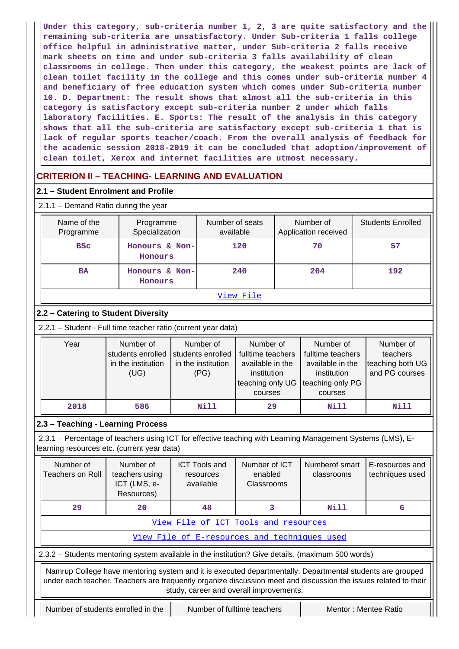**Under this category, sub-criteria number 1, 2, 3 are quite satisfactory and the remaining sub-criteria are unsatisfactory. Under Sub-criteria 1 falls college office helpful in administrative matter, under Sub-criteria 2 falls receive mark sheets on time and under sub-criteria 3 falls availability of clean classrooms in college. Then under this category, the weakest points are lack of clean toilet facility in the college and this comes under sub-criteria number 4 and beneficiary of free education system which comes under Sub-criteria number 10. D. Department: The result shows that almost all the sub-criteria in this category is satisfactory except sub-criteria number 2 under which falls laboratory facilities. E. Sports: The result of the analysis in this category shows that all the sub-criteria are satisfactory except sub-criteria 1 that is lack of regular sports teacher/coach. From the overall analysis of feedback for the academic session 2018-2019 it can be concluded that adoption/improvement of clean toilet, Xerox and internet facilities are utmost necessary.**

# **CRITERION II – TEACHING- LEARNING AND EVALUATION**

## **2.1 – Student Enrolment and Profile**

| $2.1.1 -$ Demand Ratio during the year |                             |                              |                                   |                          |  |  |  |  |
|----------------------------------------|-----------------------------|------------------------------|-----------------------------------|--------------------------|--|--|--|--|
| Name of the<br>Programme               | Programme<br>Specialization | Number of seats<br>available | Number of<br>Application received | <b>Students Enrolled</b> |  |  |  |  |
| <b>BSC</b>                             | Honours & Non-<br>Honours   | 120                          | 70                                | 57                       |  |  |  |  |
| <b>BA</b>                              | Honours & Non-<br>Honours   | 240                          | 204                               | 192                      |  |  |  |  |
| View File                              |                             |                              |                                   |                          |  |  |  |  |

## **2.2 – Catering to Student Diversity**

2.2.1 – Student - Full time teacher ratio (current year data)

| Year | Number of          | Number of          | Number of         | Number of         | Number of        |
|------|--------------------|--------------------|-------------------|-------------------|------------------|
|      | students enrolled  | students enrolled  | fulltime teachers | fulltime teachers | teachers         |
|      | in the institution | in the institution | available in the  | available in the  | teaching both UG |
|      | (UG)               | (PG)               | institution       | institution       | and PG courses   |
|      |                    |                    | teaching only UG  | teaching only PG  |                  |
|      |                    |                    | courses           | courses           |                  |
| 2018 | 586                | Nill               | 29                | Nill              | Nill             |

## **2.3 – Teaching - Learning Process**

 2.3.1 – Percentage of teachers using ICT for effective teaching with Learning Management Systems (LMS), Elearning resources etc. (current year data)

|                                                                                                                                                                                                                                                                         | Number of<br>Number of<br>Teachers on Roll<br>teachers using<br>ICT (LMS, e-<br>Resources) |                                    | <b>ICT Tools and</b><br>resources<br>available | Number of ICT<br>enabled<br>Classrooms                                                            | Numberof smart<br>classrooms | E-resources and<br>techniques used |  |  |  |  |
|-------------------------------------------------------------------------------------------------------------------------------------------------------------------------------------------------------------------------------------------------------------------------|--------------------------------------------------------------------------------------------|------------------------------------|------------------------------------------------|---------------------------------------------------------------------------------------------------|------------------------------|------------------------------------|--|--|--|--|
| 29                                                                                                                                                                                                                                                                      | 20                                                                                         |                                    |                                                | 3                                                                                                 | Nill                         | 6                                  |  |  |  |  |
|                                                                                                                                                                                                                                                                         | View File of ICT Tools and resources                                                       |                                    |                                                |                                                                                                   |                              |                                    |  |  |  |  |
|                                                                                                                                                                                                                                                                         |                                                                                            |                                    |                                                | View File of E-resources and techniques used                                                      |                              |                                    |  |  |  |  |
|                                                                                                                                                                                                                                                                         |                                                                                            |                                    |                                                | 2.3.2 – Students mentoring system available in the institution? Give details. (maximum 500 words) |                              |                                    |  |  |  |  |
| Namrup College have mentoring system and it is executed departmentally. Departmental students are grouped<br>under each teacher. Teachers are frequently organize discussion meet and discussion the issues related to their<br>study, career and overall improvements. |                                                                                            |                                    |                                                |                                                                                                   |                              |                                    |  |  |  |  |
|                                                                                                                                                                                                                                                                         |                                                                                            | Number of students enrolled in the | Number of fulltime teachers                    |                                                                                                   | Mentor: Mentee Ratio         |                                    |  |  |  |  |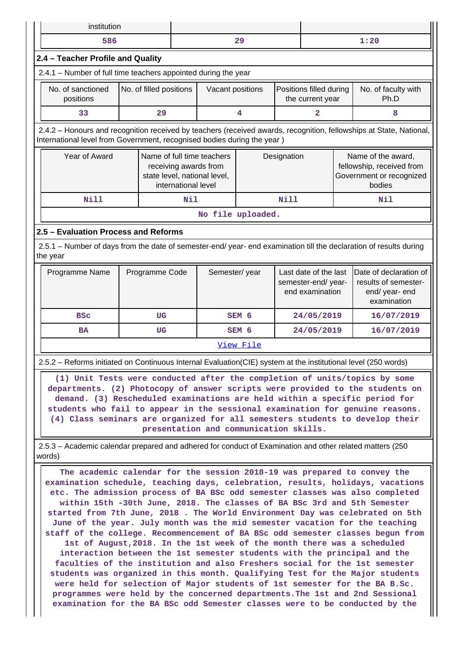|                                                                | institution                                                                                                    |                         |                     |                                                                                     |                                                                                  |             |                                                     |                                                                  |                                                                                                                                                                                                                                                                                                                                                                                                            |
|----------------------------------------------------------------|----------------------------------------------------------------------------------------------------------------|-------------------------|---------------------|-------------------------------------------------------------------------------------|----------------------------------------------------------------------------------|-------------|-----------------------------------------------------|------------------------------------------------------------------|------------------------------------------------------------------------------------------------------------------------------------------------------------------------------------------------------------------------------------------------------------------------------------------------------------------------------------------------------------------------------------------------------------|
|                                                                | 586                                                                                                            |                         |                     |                                                                                     | 29                                                                               |             | 1:20                                                |                                                                  |                                                                                                                                                                                                                                                                                                                                                                                                            |
|                                                                | 2.4 - Teacher Profile and Quality                                                                              |                         |                     |                                                                                     |                                                                                  |             |                                                     |                                                                  |                                                                                                                                                                                                                                                                                                                                                                                                            |
| 2.4.1 - Number of full time teachers appointed during the year |                                                                                                                |                         |                     |                                                                                     |                                                                                  |             |                                                     |                                                                  |                                                                                                                                                                                                                                                                                                                                                                                                            |
|                                                                | No. of sanctioned<br>positions                                                                                 | No. of filled positions |                     | Vacant positions                                                                    |                                                                                  |             | Positions filled during<br>the current year<br>Ph.D |                                                                  | No. of faculty with                                                                                                                                                                                                                                                                                                                                                                                        |
|                                                                | 33                                                                                                             | 29                      |                     |                                                                                     | 4                                                                                |             | 2                                                   |                                                                  | 8                                                                                                                                                                                                                                                                                                                                                                                                          |
|                                                                | International level from Government, recognised bodies during the year)                                        |                         |                     |                                                                                     |                                                                                  |             |                                                     |                                                                  | 2.4.2 - Honours and recognition received by teachers (received awards, recognition, fellowships at State, National,                                                                                                                                                                                                                                                                                        |
|                                                                | Year of Award                                                                                                  |                         | international level | Name of full time teachers<br>receiving awards from<br>state level, national level, |                                                                                  | Designation |                                                     |                                                                  | Name of the award,<br>fellowship, received from<br>Government or recognized<br>bodies                                                                                                                                                                                                                                                                                                                      |
|                                                                | <b>Nill</b>                                                                                                    |                         | Nil                 |                                                                                     |                                                                                  | <b>Nill</b> |                                                     |                                                                  | Nil                                                                                                                                                                                                                                                                                                                                                                                                        |
|                                                                |                                                                                                                |                         |                     |                                                                                     | No file uploaded.                                                                |             |                                                     |                                                                  |                                                                                                                                                                                                                                                                                                                                                                                                            |
|                                                                | 2.5 - Evaluation Process and Reforms                                                                           |                         |                     |                                                                                     |                                                                                  |             |                                                     |                                                                  |                                                                                                                                                                                                                                                                                                                                                                                                            |
| the year                                                       |                                                                                                                |                         |                     |                                                                                     |                                                                                  |             |                                                     |                                                                  | 2.5.1 - Number of days from the date of semester-end/ year- end examination till the declaration of results during                                                                                                                                                                                                                                                                                         |
|                                                                | Programme Name                                                                                                 | Programme Code          |                     |                                                                                     | Semester/year<br>Last date of the last<br>semester-end/ year-<br>end examination |             |                                                     | Date of declaration of<br>results of semester-<br>end/ year- end |                                                                                                                                                                                                                                                                                                                                                                                                            |
|                                                                |                                                                                                                |                         |                     |                                                                                     |                                                                                  |             |                                                     |                                                                  | examination                                                                                                                                                                                                                                                                                                                                                                                                |
|                                                                | <b>BSC</b>                                                                                                     | UG                      |                     |                                                                                     | SEM <sub>6</sub>                                                                 |             | 24/05/2019                                          |                                                                  | 16/07/2019                                                                                                                                                                                                                                                                                                                                                                                                 |
|                                                                | <b>BA</b>                                                                                                      | UG                      |                     |                                                                                     | SEM 6                                                                            |             | 24/05/2019                                          |                                                                  | 16/07/2019                                                                                                                                                                                                                                                                                                                                                                                                 |
|                                                                |                                                                                                                |                         |                     |                                                                                     | View File                                                                        |             |                                                     |                                                                  |                                                                                                                                                                                                                                                                                                                                                                                                            |
|                                                                | 2.5.2 - Reforms initiated on Continuous Internal Evaluation(CIE) system at the institutional level (250 words) |                         |                     |                                                                                     |                                                                                  |             |                                                     |                                                                  |                                                                                                                                                                                                                                                                                                                                                                                                            |
|                                                                |                                                                                                                |                         |                     | presentation and communication skills.                                              |                                                                                  |             |                                                     |                                                                  | (1) Unit Tests were conducted after the completion of units/topics by some<br>departments. (2) Photocopy of answer scripts were provided to the students on<br>demand. (3) Rescheduled examinations are held within a specific period for<br>students who fail to appear in the sessional examination for genuine reasons.<br>(4) Class seminars are organized for all semesters students to develop their |
| words)                                                         | 2.5.3 – Academic calendar prepared and adhered for conduct of Examination and other related matters (250)      |                         |                     |                                                                                     |                                                                                  |             |                                                     |                                                                  |                                                                                                                                                                                                                                                                                                                                                                                                            |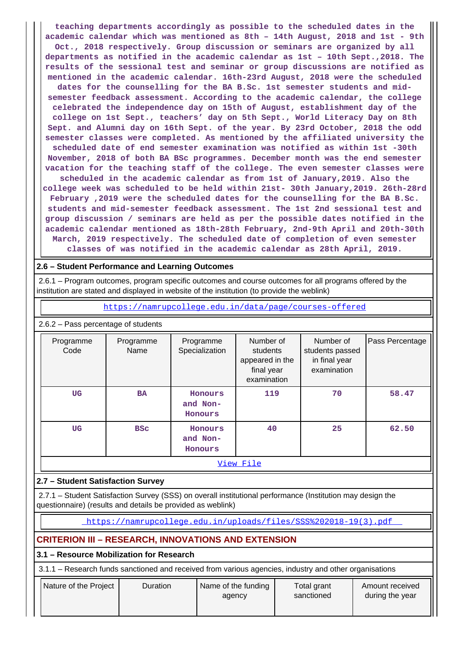**teaching departments accordingly as possible to the scheduled dates in the academic calendar which was mentioned as 8th – 14th August, 2018 and 1st - 9th Oct., 2018 respectively. Group discussion or seminars are organized by all departments as notified in the academic calendar as 1st – 10th Sept.,2018. The results of the sessional test and seminar or group discussions are notified as mentioned in the academic calendar. 16th-23rd August, 2018 were the scheduled dates for the counselling for the BA B.Sc. 1st semester students and midsemester feedback assessment. According to the academic calendar, the college celebrated the independence day on 15th of August, establishment day of the college on 1st Sept., teachers' day on 5th Sept., World Literacy Day on 8th Sept. and Alumni day on 16th Sept. of the year. By 23rd October, 2018 the odd semester classes were completed. As mentioned by the affiliated university the scheduled date of end semester examination was notified as within 1st -30th November, 2018 of both BA BSc programmes. December month was the end semester vacation for the teaching staff of the college. The even semester classes were scheduled in the academic calendar as from 1st of January,2019. Also the college week was scheduled to be held within 21st- 30th January,2019. 26th-28rd February ,2019 were the scheduled dates for the counselling for the BA B.Sc. students and mid-semester feedback assessment. The 1st 2nd sessional test and group discussion / seminars are held as per the possible dates notified in the academic calendar mentioned as 18th-28th February, 2nd-9th April and 20th-30th March, 2019 respectively. The scheduled date of completion of even semester classes of was notified in the academic calendar as 28th April, 2019.**

## **2.6 – Student Performance and Learning Outcomes**

 2.6.1 – Program outcomes, program specific outcomes and course outcomes for all programs offered by the institution are stated and displayed in website of the institution (to provide the weblink)

<https://namrupcollege.edu.in/data/page/courses-offered>

2.6.2 – Pass percentage of students

| Programme<br>Code | Programme<br>Name | Programme<br>Specialization    | Number of<br>students<br>appeared in the<br>final year<br>examination | Number of<br>students passed<br>in final year<br>examination | Pass Percentage |  |  |  |  |  |
|-------------------|-------------------|--------------------------------|-----------------------------------------------------------------------|--------------------------------------------------------------|-----------------|--|--|--|--|--|
| UG                | <b>BA</b>         | Honours<br>and Non-<br>Honours | 119                                                                   | 70                                                           | 58.47           |  |  |  |  |  |
| UG                | <b>BSC</b>        | Honours<br>and Non-<br>Honours | 40                                                                    | 25                                                           | 62.50           |  |  |  |  |  |
|                   | View File         |                                |                                                                       |                                                              |                 |  |  |  |  |  |

## **2.7 – Student Satisfaction Survey**

 2.7.1 – Student Satisfaction Survey (SSS) on overall institutional performance (Institution may design the questionnaire) (results and details be provided as weblink)

[https://namrupcollege.edu.in/uploads/files/SSS%202018-19\(3\).pdf](https://namrupcollege.edu.in/uploads/files/SSS%202018-19(3).pdf) 

## **CRITERION III – RESEARCH, INNOVATIONS AND EXTENSION**

**3.1 – Resource Mobilization for Research**

3.1.1 – Research funds sanctioned and received from various agencies, industry and other organisations

| Nature of the Project | Duration | Name of the funding<br>agency | Total grant<br>sanctioned | Amount received<br>during the year |
|-----------------------|----------|-------------------------------|---------------------------|------------------------------------|
|-----------------------|----------|-------------------------------|---------------------------|------------------------------------|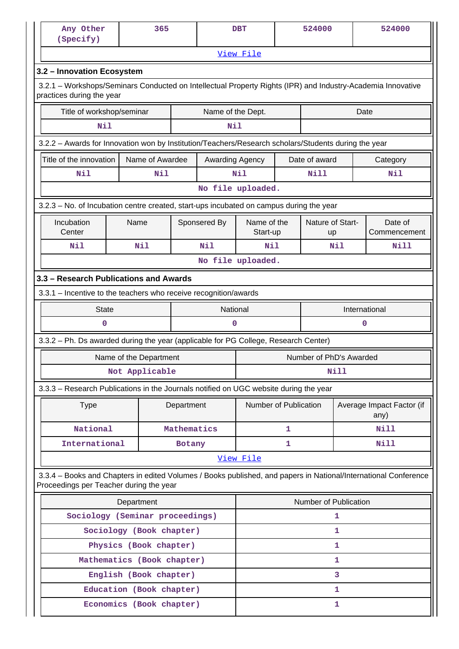| Any Other<br>(Specify)                                                                                                                                     |                                                                  | 365                        |             |                   | <b>DBT</b>              |   | 524000                  |              | 524000                            |  |
|------------------------------------------------------------------------------------------------------------------------------------------------------------|------------------------------------------------------------------|----------------------------|-------------|-------------------|-------------------------|---|-------------------------|--------------|-----------------------------------|--|
|                                                                                                                                                            | View File                                                        |                            |             |                   |                         |   |                         |              |                                   |  |
| 3.2 - Innovation Ecosystem                                                                                                                                 |                                                                  |                            |             |                   |                         |   |                         |              |                                   |  |
| 3.2.1 - Workshops/Seminars Conducted on Intellectual Property Rights (IPR) and Industry-Academia Innovative<br>practices during the year                   |                                                                  |                            |             |                   |                         |   |                         |              |                                   |  |
|                                                                                                                                                            | Title of workshop/seminar<br>Name of the Dept.<br>Date           |                            |             |                   |                         |   |                         |              |                                   |  |
| Nil<br>Nil                                                                                                                                                 |                                                                  |                            |             |                   |                         |   |                         |              |                                   |  |
| 3.2.2 - Awards for Innovation won by Institution/Teachers/Research scholars/Students during the year                                                       |                                                                  |                            |             |                   |                         |   |                         |              |                                   |  |
| Title of the innovation                                                                                                                                    |                                                                  | Name of Awardee            |             | Awarding Agency   |                         |   | Date of award           |              | Category                          |  |
| Nil                                                                                                                                                        |                                                                  | Nil                        |             |                   | Nil                     |   | Nill                    |              | Nil                               |  |
|                                                                                                                                                            |                                                                  |                            |             | No file uploaded. |                         |   |                         |              |                                   |  |
| 3.2.3 – No. of Incubation centre created, start-ups incubated on campus during the year                                                                    |                                                                  |                            |             |                   |                         |   |                         |              |                                   |  |
| Incubation<br>Center                                                                                                                                       | Name                                                             |                            |             | Sponsered By      | Name of the<br>Start-up |   | Nature of Start-<br>up  |              | Date of<br>Commencement           |  |
| Nil                                                                                                                                                        |                                                                  | Nil                        |             | Nil               | Nil                     |   |                         | Nil          | Nill                              |  |
|                                                                                                                                                            |                                                                  |                            |             | No file uploaded. |                         |   |                         |              |                                   |  |
| 3.3 - Research Publications and Awards                                                                                                                     |                                                                  |                            |             |                   |                         |   |                         |              |                                   |  |
|                                                                                                                                                            | 3.3.1 - Incentive to the teachers who receive recognition/awards |                            |             |                   |                         |   |                         |              |                                   |  |
| <b>State</b>                                                                                                                                               |                                                                  |                            |             | National          |                         |   |                         |              | International                     |  |
| 0                                                                                                                                                          |                                                                  |                            |             | 0                 |                         |   |                         |              | 0                                 |  |
| 3.3.2 - Ph. Ds awarded during the year (applicable for PG College, Research Center)                                                                        |                                                                  |                            |             |                   |                         |   |                         |              |                                   |  |
|                                                                                                                                                            |                                                                  | Name of the Department     |             |                   |                         |   | Number of PhD's Awarded |              |                                   |  |
|                                                                                                                                                            |                                                                  | Not Applicable             |             |                   | <b>Nill</b>             |   |                         |              |                                   |  |
| 3.3.3 - Research Publications in the Journals notified on UGC website during the year                                                                      |                                                                  |                            |             |                   |                         |   |                         |              |                                   |  |
| <b>Type</b>                                                                                                                                                |                                                                  |                            | Department  |                   | Number of Publication   |   |                         |              | Average Impact Factor (if<br>any) |  |
| National                                                                                                                                                   |                                                                  |                            | Mathematics |                   |                         | 1 |                         |              | N <sub>i</sub> 11                 |  |
| International                                                                                                                                              |                                                                  |                            | Botany      |                   |                         | 1 |                         |              | Nill                              |  |
|                                                                                                                                                            |                                                                  |                            |             |                   | View File               |   |                         |              |                                   |  |
| 3.3.4 – Books and Chapters in edited Volumes / Books published, and papers in National/International Conference<br>Proceedings per Teacher during the year |                                                                  |                            |             |                   |                         |   |                         |              |                                   |  |
|                                                                                                                                                            | Department                                                       |                            |             |                   |                         |   | Number of Publication   |              |                                   |  |
| Sociology (Seminar proceedings)                                                                                                                            |                                                                  |                            |             |                   |                         |   |                         | 1            |                                   |  |
|                                                                                                                                                            | Sociology (Book chapter)                                         |                            |             |                   |                         |   |                         | 1            |                                   |  |
|                                                                                                                                                            |                                                                  | Physics (Book chapter)     |             |                   |                         |   |                         | 1            |                                   |  |
|                                                                                                                                                            |                                                                  | Mathematics (Book chapter) |             |                   |                         |   |                         | $\mathbf{1}$ |                                   |  |
|                                                                                                                                                            |                                                                  | English (Book chapter)     |             |                   |                         |   |                         | 3            |                                   |  |
|                                                                                                                                                            |                                                                  | Education (Book chapter)   |             |                   |                         |   |                         | 1<br>1       |                                   |  |
|                                                                                                                                                            |                                                                  | Economics (Book chapter)   |             |                   |                         |   |                         |              |                                   |  |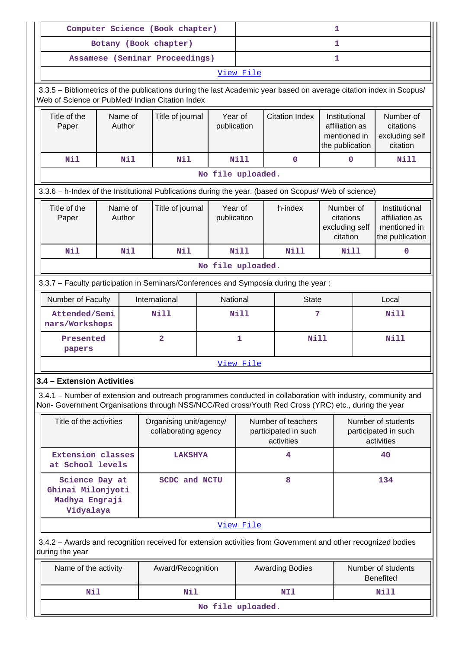|                                                                                                                                                                                                                    |                                       |  | Computer Science (Book chapter)                 |                   | $\mathbf 1$            |                                                          |                                                                    |                                        |                                                                    |
|--------------------------------------------------------------------------------------------------------------------------------------------------------------------------------------------------------------------|---------------------------------------|--|-------------------------------------------------|-------------------|------------------------|----------------------------------------------------------|--------------------------------------------------------------------|----------------------------------------|--------------------------------------------------------------------|
|                                                                                                                                                                                                                    |                                       |  | Botany (Book chapter)                           |                   | 1                      |                                                          |                                                                    |                                        |                                                                    |
|                                                                                                                                                                                                                    |                                       |  | Assamese (Seminar Proceedings)                  |                   | 1                      |                                                          |                                                                    |                                        |                                                                    |
| View File                                                                                                                                                                                                          |                                       |  |                                                 |                   |                        |                                                          |                                                                    |                                        |                                                                    |
| 3.3.5 - Bibliometrics of the publications during the last Academic year based on average citation index in Scopus/<br>Web of Science or PubMed/ Indian Citation Index                                              |                                       |  |                                                 |                   |                        |                                                          |                                                                    |                                        |                                                                    |
| Title of the<br>Paper                                                                                                                                                                                              | Name of<br>Title of journal<br>Author |  |                                                 |                   | Year of<br>publication | <b>Citation Index</b>                                    | Institutional<br>affiliation as<br>mentioned in<br>the publication |                                        | Number of<br>citations<br>excluding self<br>citation               |
| Nil                                                                                                                                                                                                                | Nil                                   |  | Nil                                             |                   | <b>Nill</b>            | $\mathbf 0$                                              | 0                                                                  |                                        | Nill                                                               |
|                                                                                                                                                                                                                    |                                       |  |                                                 | No file uploaded. |                        |                                                          |                                                                    |                                        |                                                                    |
| 3.3.6 - h-Index of the Institutional Publications during the year. (based on Scopus/ Web of science)                                                                                                               |                                       |  |                                                 |                   |                        |                                                          |                                                                    |                                        |                                                                    |
| Title of the<br>Paper                                                                                                                                                                                              | Name of<br>Author                     |  | Title of journal                                |                   | Year of<br>publication | h-index                                                  | Number of<br>citations<br>excluding self<br>citation               |                                        | Institutional<br>affiliation as<br>mentioned in<br>the publication |
| Nil                                                                                                                                                                                                                | Nil                                   |  | <b>Nil</b>                                      |                   | <b>Nill</b>            | <b>Nill</b>                                              | <b>Nill</b>                                                        |                                        | $\mathbf 0$                                                        |
|                                                                                                                                                                                                                    |                                       |  |                                                 | No file uploaded. |                        |                                                          |                                                                    |                                        |                                                                    |
| 3.3.7 - Faculty participation in Seminars/Conferences and Symposia during the year:                                                                                                                                |                                       |  |                                                 |                   |                        |                                                          |                                                                    |                                        |                                                                    |
| International<br>National<br><b>State</b><br>Number of Faculty<br>Local                                                                                                                                            |                                       |  |                                                 |                   |                        |                                                          |                                                                    |                                        |                                                                    |
| <b>Nill</b><br>Attended/Semi<br>nars/Workshops                                                                                                                                                                     |                                       |  |                                                 |                   | <b>Nill</b>            | 7                                                        |                                                                    |                                        | Nill                                                               |
| Presented<br>papers                                                                                                                                                                                                |                                       |  | $\overline{2}$                                  |                   | $\mathbf{1}$           |                                                          | <b>Nill</b>                                                        |                                        | <b>Nill</b>                                                        |
|                                                                                                                                                                                                                    |                                       |  |                                                 |                   | View File              |                                                          |                                                                    |                                        |                                                                    |
| 3.4 - Extension Activities                                                                                                                                                                                         |                                       |  |                                                 |                   |                        |                                                          |                                                                    |                                        |                                                                    |
| 3.4.1 – Number of extension and outreach programmes conducted in collaboration with industry, community and<br>Non- Government Organisations through NSS/NCC/Red cross/Youth Red Cross (YRC) etc., during the year |                                       |  |                                                 |                   |                        |                                                          |                                                                    |                                        |                                                                    |
| Title of the activities                                                                                                                                                                                            |                                       |  | Organising unit/agency/<br>collaborating agency |                   |                        | Number of teachers<br>participated in such<br>activities |                                                                    |                                        | Number of students<br>participated in such<br>activities           |
| Extension classes<br>at School levels                                                                                                                                                                              |                                       |  | <b>LAKSHYA</b>                                  |                   |                        | 4                                                        |                                                                    |                                        | 40                                                                 |
| Science Day at<br><b>SCDC and NCTU</b><br>Ghinai Milonjyoti<br>Madhya Engraji<br>Vidyalaya                                                                                                                         |                                       |  |                                                 |                   | 8                      |                                                          |                                                                    | 134                                    |                                                                    |
|                                                                                                                                                                                                                    |                                       |  |                                                 |                   | View File              |                                                          |                                                                    |                                        |                                                                    |
| 3.4.2 - Awards and recognition received for extension activities from Government and other recognized bodies<br>during the year                                                                                    |                                       |  |                                                 |                   |                        |                                                          |                                                                    |                                        |                                                                    |
| Name of the activity                                                                                                                                                                                               |                                       |  | Award/Recognition                               |                   |                        | <b>Awarding Bodies</b>                                   |                                                                    | Number of students<br><b>Benefited</b> |                                                                    |
| Nil                                                                                                                                                                                                                |                                       |  | Nil                                             |                   |                        | NI1                                                      |                                                                    |                                        | Nill                                                               |
|                                                                                                                                                                                                                    |                                       |  |                                                 | No file uploaded. |                        |                                                          |                                                                    |                                        |                                                                    |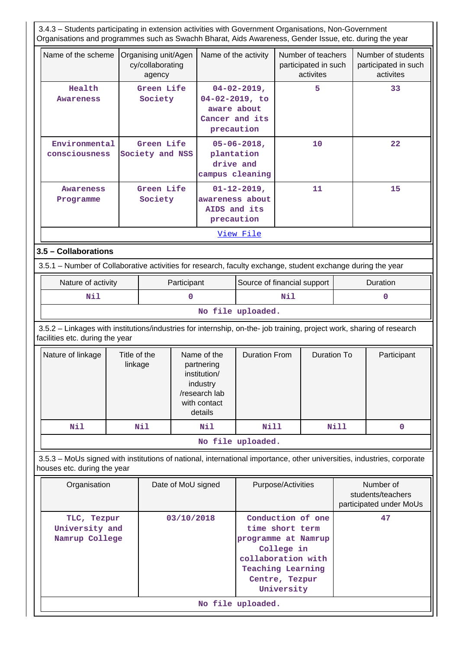3.4.3 – Students participating in extension activities with Government Organisations, Non-Government Organisations and programmes such as Swachh Bharat, Aids Awareness, Gender Issue, etc. during the year Name of the scheme Organising unit/Agen cy/collaborating agency Name of the activity  $\vert$  Number of teachers participated in such activites Number of students participated in such activites  **Health Awareness Green Life Society 04-02-2019, 04-02-2019, to aware about Cancer and its precaution 5 33 Environmental consciousness Green Life Society and NSS 05-06-2018, plantation drive and campus cleaning 10 22 Awareness Programme Green Life Society 01-12-2019, awareness about AIDS and its precaution 11 15** [View File](https://assessmentonline.naac.gov.in/public/Postacc/Students_in_extension/9162_Students_in_extension_1640781253.xlsx) **3.5 – Collaborations** 3.5.1 – Number of Collaborative activities for research, faculty exchange, student exchange during the year Nature of activity  $\parallel$  Participant Source of financial support  $\parallel$  Duration  **Nil 0 Nil 0 No file uploaded.** 3.5.2 – Linkages with institutions/industries for internship, on-the- job training, project work, sharing of research facilities etc. during the year Nature of linkage  $\parallel$  Title of the linkage Name of the partnering institution/ industry /research lab with contact details Duration From | Duration To | Participant Nil | Nil | Nil | Nill | Nill | 0 **No file uploaded.** 3.5.3 – MoUs signed with institutions of national, international importance, other universities, industries, corporate houses etc. during the year Organisation | Date of MoU signed | Purpose/Activities | Number of students/teachers participated under MoUs  **TLC, Tezpur University and Namrup College 03/10/2018 Conduction of one time short term programme at Namrup College in collaboration with Teaching Learning Centre, Tezpur University 47 No file uploaded.**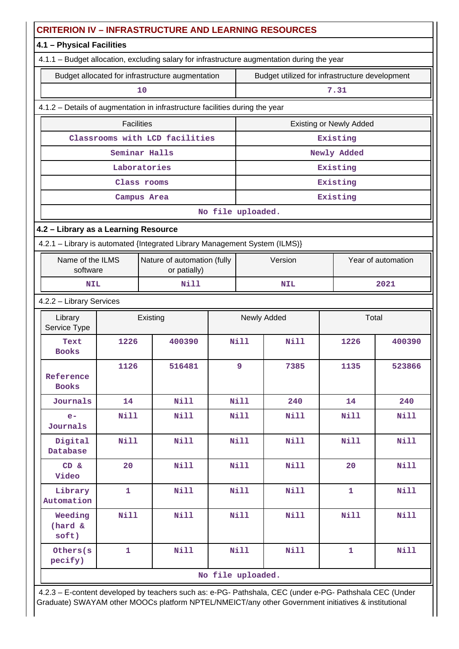|                                                                              | <b>CRITERION IV - INFRASTRUCTURE AND LEARNING RESOURCES</b>                 |                                                                                             |                   |                |                                                |                                |                    |  |  |  |  |
|------------------------------------------------------------------------------|-----------------------------------------------------------------------------|---------------------------------------------------------------------------------------------|-------------------|----------------|------------------------------------------------|--------------------------------|--------------------|--|--|--|--|
| 4.1 - Physical Facilities                                                    |                                                                             |                                                                                             |                   |                |                                                |                                |                    |  |  |  |  |
|                                                                              |                                                                             | 4.1.1 - Budget allocation, excluding salary for infrastructure augmentation during the year |                   |                |                                                |                                |                    |  |  |  |  |
|                                                                              |                                                                             | Budget allocated for infrastructure augmentation                                            |                   |                | Budget utilized for infrastructure development |                                |                    |  |  |  |  |
|                                                                              |                                                                             | 10                                                                                          |                   |                |                                                | 7.31                           |                    |  |  |  |  |
| 4.1.2 - Details of augmentation in infrastructure facilities during the year |                                                                             |                                                                                             |                   |                |                                                |                                |                    |  |  |  |  |
|                                                                              | <b>Facilities</b>                                                           |                                                                                             |                   |                |                                                | <b>Existing or Newly Added</b> |                    |  |  |  |  |
|                                                                              | Classrooms with LCD facilities<br>Existing                                  |                                                                                             |                   |                |                                                |                                |                    |  |  |  |  |
| Seminar Halls<br>Newly Added                                                 |                                                                             |                                                                                             |                   |                |                                                |                                |                    |  |  |  |  |
|                                                                              | Laboratories<br>Existing                                                    |                                                                                             |                   |                |                                                |                                |                    |  |  |  |  |
|                                                                              | Existing<br>Class rooms                                                     |                                                                                             |                   |                |                                                |                                |                    |  |  |  |  |
|                                                                              |                                                                             | Campus Area                                                                                 |                   |                |                                                | Existing                       |                    |  |  |  |  |
|                                                                              |                                                                             |                                                                                             | No file uploaded. |                |                                                |                                |                    |  |  |  |  |
| 4.2 - Library as a Learning Resource                                         |                                                                             |                                                                                             |                   |                |                                                |                                |                    |  |  |  |  |
|                                                                              |                                                                             | 4.2.1 - Library is automated {Integrated Library Management System (ILMS)}                  |                   |                |                                                |                                |                    |  |  |  |  |
|                                                                              | Nature of automation (fully<br>Name of the ILMS<br>or patially)<br>software |                                                                                             |                   |                | Version                                        |                                | Year of automation |  |  |  |  |
|                                                                              | <b>Nill</b><br>2021<br><b>NIL</b><br><b>NIL</b>                             |                                                                                             |                   |                |                                                |                                |                    |  |  |  |  |
|                                                                              | 4.2.2 - Library Services                                                    |                                                                                             |                   |                |                                                |                                |                    |  |  |  |  |
| Library<br>Service Type                                                      |                                                                             | Existing                                                                                    |                   |                | Newly Added                                    |                                | Total              |  |  |  |  |
| Text<br><b>Books</b>                                                         | 1226                                                                        | 400390                                                                                      |                   | <b>Nill</b>    | <b>Nill</b>                                    | 1226                           | 400390             |  |  |  |  |
| Reference<br><b>Books</b>                                                    | 1126                                                                        | 516481                                                                                      |                   | $\overline{9}$ | 7385                                           | 1135                           | 523866             |  |  |  |  |
| Journals                                                                     | 14                                                                          | <b>Nill</b>                                                                                 |                   | <b>Nill</b>    | 240                                            | 14                             | 240                |  |  |  |  |
| $e-$<br>Journals                                                             | <b>Nill</b>                                                                 | <b>Nill</b>                                                                                 |                   | Nill           | <b>Nill</b>                                    | <b>Nill</b>                    | Nill               |  |  |  |  |
| Digital<br>Database                                                          | <b>Nill</b>                                                                 | <b>Nill</b>                                                                                 |                   | <b>Nill</b>    | <b>Nill</b>                                    | Nill                           | Nill               |  |  |  |  |
| CD &<br>Video                                                                | 20                                                                          | Nill                                                                                        |                   | <b>Nill</b>    | <b>Nill</b>                                    | 20                             | Nill               |  |  |  |  |
| Library<br>Automation                                                        | $\mathbf{1}$                                                                | <b>Nill</b>                                                                                 |                   | Nill           | <b>Nill</b>                                    | $\mathbf{1}$                   | <b>Nill</b>        |  |  |  |  |
| Weeding<br>(hard &<br>soft)                                                  | <b>Nill</b><br><b>Nill</b>                                                  |                                                                                             |                   | <b>Nill</b>    | <b>Nill</b>                                    | <b>Nill</b>                    | <b>Nill</b>        |  |  |  |  |
| Others(s<br>pecify)                                                          | $\mathbf{1}$                                                                | <b>Nill</b>                                                                                 |                   | <b>Nill</b>    | <b>Nill</b>                                    | $\mathbf{1}$                   | <b>Nill</b>        |  |  |  |  |
|                                                                              |                                                                             |                                                                                             | No file uploaded. |                |                                                |                                |                    |  |  |  |  |

 4.2.3 – E-content developed by teachers such as: e-PG- Pathshala, CEC (under e-PG- Pathshala CEC (Under Graduate) SWAYAM other MOOCs platform NPTEL/NMEICT/any other Government initiatives & institutional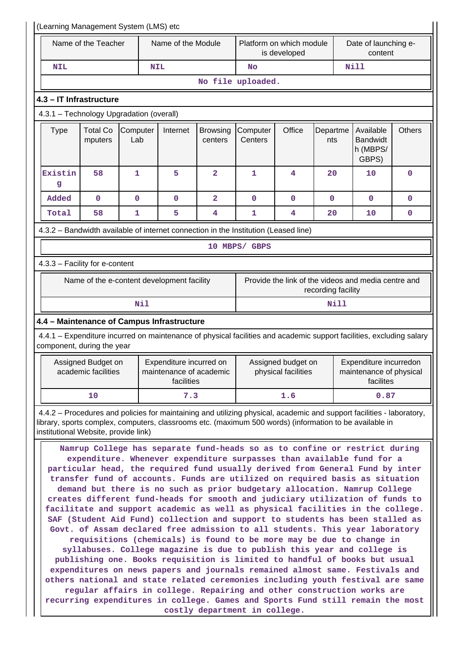|                                                                                                                                                                                                                                  | (Learning Management System (LMS) etc                                                                                                                                                                                                                                                                                                                                                                                                                                                                                                                                                                                                                                                                                                                                                                                                                                                                                                                                                                                                                                                                                                                                                                                                                                                                                                                                         |                                                           |                                                                  |                     |                                           |                                          |                                                                |                                 |   |  |
|----------------------------------------------------------------------------------------------------------------------------------------------------------------------------------------------------------------------------------|-------------------------------------------------------------------------------------------------------------------------------------------------------------------------------------------------------------------------------------------------------------------------------------------------------------------------------------------------------------------------------------------------------------------------------------------------------------------------------------------------------------------------------------------------------------------------------------------------------------------------------------------------------------------------------------------------------------------------------------------------------------------------------------------------------------------------------------------------------------------------------------------------------------------------------------------------------------------------------------------------------------------------------------------------------------------------------------------------------------------------------------------------------------------------------------------------------------------------------------------------------------------------------------------------------------------------------------------------------------------------------|-----------------------------------------------------------|------------------------------------------------------------------|---------------------|-------------------------------------------|------------------------------------------|----------------------------------------------------------------|---------------------------------|---|--|
|                                                                                                                                                                                                                                  | Name of the Teacher                                                                                                                                                                                                                                                                                                                                                                                                                                                                                                                                                                                                                                                                                                                                                                                                                                                                                                                                                                                                                                                                                                                                                                                                                                                                                                                                                           |                                                           | Name of the Module                                               |                     |                                           | Platform on which module<br>is developed |                                                                | Date of launching e-<br>content |   |  |
| NIL                                                                                                                                                                                                                              |                                                                                                                                                                                                                                                                                                                                                                                                                                                                                                                                                                                                                                                                                                                                                                                                                                                                                                                                                                                                                                                                                                                                                                                                                                                                                                                                                                               |                                                           | <b>NIL</b>                                                       |                     | No                                        |                                          |                                                                | Nill                            |   |  |
|                                                                                                                                                                                                                                  |                                                                                                                                                                                                                                                                                                                                                                                                                                                                                                                                                                                                                                                                                                                                                                                                                                                                                                                                                                                                                                                                                                                                                                                                                                                                                                                                                                               |                                                           |                                                                  |                     | No file uploaded.                         |                                          |                                                                |                                 |   |  |
| 4.3 - IT Infrastructure                                                                                                                                                                                                          |                                                                                                                                                                                                                                                                                                                                                                                                                                                                                                                                                                                                                                                                                                                                                                                                                                                                                                                                                                                                                                                                                                                                                                                                                                                                                                                                                                               |                                                           |                                                                  |                     |                                           |                                          |                                                                |                                 |   |  |
| 4.3.1 - Technology Upgradation (overall)                                                                                                                                                                                         |                                                                                                                                                                                                                                                                                                                                                                                                                                                                                                                                                                                                                                                                                                                                                                                                                                                                                                                                                                                                                                                                                                                                                                                                                                                                                                                                                                               |                                                           |                                                                  |                     |                                           |                                          |                                                                |                                 |   |  |
| <b>Type</b>                                                                                                                                                                                                                      | <b>Total Co</b><br>mputers                                                                                                                                                                                                                                                                                                                                                                                                                                                                                                                                                                                                                                                                                                                                                                                                                                                                                                                                                                                                                                                                                                                                                                                                                                                                                                                                                    | Computer<br>Internet<br><b>Browsing</b><br>Lab<br>centers |                                                                  | Computer<br>Centers | Office                                    | Departme<br>nts                          | Available<br><b>Bandwidt</b><br>h (MBPS/<br>GBPS)              | <b>Others</b>                   |   |  |
| Existin<br>g                                                                                                                                                                                                                     | 58                                                                                                                                                                                                                                                                                                                                                                                                                                                                                                                                                                                                                                                                                                                                                                                                                                                                                                                                                                                                                                                                                                                                                                                                                                                                                                                                                                            | 1                                                         | 5                                                                | $\overline{a}$      | 1                                         | 4                                        | 20                                                             | 10                              | 0 |  |
| Added                                                                                                                                                                                                                            | $\mathbf 0$                                                                                                                                                                                                                                                                                                                                                                                                                                                                                                                                                                                                                                                                                                                                                                                                                                                                                                                                                                                                                                                                                                                                                                                                                                                                                                                                                                   | $\mathbf 0$                                               | $\mathbf 0$                                                      | 2                   | $\mathbf 0$                               | $\mathbf 0$                              | $\mathbf 0$                                                    | $\mathbf 0$                     | 0 |  |
| Total                                                                                                                                                                                                                            | 58                                                                                                                                                                                                                                                                                                                                                                                                                                                                                                                                                                                                                                                                                                                                                                                                                                                                                                                                                                                                                                                                                                                                                                                                                                                                                                                                                                            | $\mathbf{1}$                                              | 5                                                                | 4                   | $\mathbf{1}$                              | 4                                        | 20                                                             | 10                              | 0 |  |
| 4.3.2 - Bandwidth available of internet connection in the Institution (Leased line)                                                                                                                                              |                                                                                                                                                                                                                                                                                                                                                                                                                                                                                                                                                                                                                                                                                                                                                                                                                                                                                                                                                                                                                                                                                                                                                                                                                                                                                                                                                                               |                                                           |                                                                  |                     |                                           |                                          |                                                                |                                 |   |  |
|                                                                                                                                                                                                                                  |                                                                                                                                                                                                                                                                                                                                                                                                                                                                                                                                                                                                                                                                                                                                                                                                                                                                                                                                                                                                                                                                                                                                                                                                                                                                                                                                                                               |                                                           |                                                                  |                     | 10 MBPS/ GBPS                             |                                          |                                                                |                                 |   |  |
| 4.3.3 - Facility for e-content                                                                                                                                                                                                   |                                                                                                                                                                                                                                                                                                                                                                                                                                                                                                                                                                                                                                                                                                                                                                                                                                                                                                                                                                                                                                                                                                                                                                                                                                                                                                                                                                               |                                                           |                                                                  |                     |                                           |                                          |                                                                |                                 |   |  |
|                                                                                                                                                                                                                                  | Provide the link of the videos and media centre and<br>Name of the e-content development facility                                                                                                                                                                                                                                                                                                                                                                                                                                                                                                                                                                                                                                                                                                                                                                                                                                                                                                                                                                                                                                                                                                                                                                                                                                                                             |                                                           |                                                                  |                     |                                           |                                          |                                                                |                                 |   |  |
|                                                                                                                                                                                                                                  | recording facility                                                                                                                                                                                                                                                                                                                                                                                                                                                                                                                                                                                                                                                                                                                                                                                                                                                                                                                                                                                                                                                                                                                                                                                                                                                                                                                                                            |                                                           |                                                                  |                     |                                           |                                          |                                                                |                                 |   |  |
|                                                                                                                                                                                                                                  |                                                                                                                                                                                                                                                                                                                                                                                                                                                                                                                                                                                                                                                                                                                                                                                                                                                                                                                                                                                                                                                                                                                                                                                                                                                                                                                                                                               | Nil                                                       |                                                                  |                     |                                           |                                          | Nill                                                           |                                 |   |  |
| 4.4 - Maintenance of Campus Infrastructure                                                                                                                                                                                       |                                                                                                                                                                                                                                                                                                                                                                                                                                                                                                                                                                                                                                                                                                                                                                                                                                                                                                                                                                                                                                                                                                                                                                                                                                                                                                                                                                               |                                                           |                                                                  |                     |                                           |                                          |                                                                |                                 |   |  |
| 4.4.1 – Expenditure incurred on maintenance of physical facilities and academic support facilities, excluding salary<br>component, during the year                                                                               |                                                                                                                                                                                                                                                                                                                                                                                                                                                                                                                                                                                                                                                                                                                                                                                                                                                                                                                                                                                                                                                                                                                                                                                                                                                                                                                                                                               |                                                           |                                                                  |                     |                                           |                                          |                                                                |                                 |   |  |
|                                                                                                                                                                                                                                  | Assigned Budget on<br>academic facilities                                                                                                                                                                                                                                                                                                                                                                                                                                                                                                                                                                                                                                                                                                                                                                                                                                                                                                                                                                                                                                                                                                                                                                                                                                                                                                                                     |                                                           | Expenditure incurred on<br>maintenance of academic<br>facilities |                     | Assigned budget on<br>physical facilities |                                          | Expenditure incurredon<br>maintenance of physical<br>facilites |                                 |   |  |
|                                                                                                                                                                                                                                  | 10                                                                                                                                                                                                                                                                                                                                                                                                                                                                                                                                                                                                                                                                                                                                                                                                                                                                                                                                                                                                                                                                                                                                                                                                                                                                                                                                                                            |                                                           | 7.3                                                              |                     |                                           | 1.6                                      |                                                                | 0.87                            |   |  |
| 4.4.2 – Procedures and policies for maintaining and utilizing physical, academic and support facilities - laboratory,<br>library, sports complex, computers, classrooms etc. (maximum 500 words) (information to be available in |                                                                                                                                                                                                                                                                                                                                                                                                                                                                                                                                                                                                                                                                                                                                                                                                                                                                                                                                                                                                                                                                                                                                                                                                                                                                                                                                                                               |                                                           |                                                                  |                     |                                           |                                          |                                                                |                                 |   |  |
|                                                                                                                                                                                                                                  | institutional Website, provide link)<br>Namrup College has separate fund-heads so as to confine or restrict during<br>expenditure. Whenever expenditure surpasses than available fund for a<br>particular head, the required fund usually derived from General Fund by inter<br>transfer fund of accounts. Funds are utilized on required basis as situation<br>demand but there is no such as prior budgetary allocation. Namrup College<br>creates different fund-heads for smooth and judiciary utilization of funds to<br>facilitate and support academic as well as physical facilities in the college.<br>SAF (Student Aid Fund) collection and support to students has been stalled as<br>Govt. of Assam declared free admission to all students. This year laboratory<br>requisitions (chemicals) is found to be more may be due to change in<br>syllabuses. College magazine is due to publish this year and college is<br>publishing one. Books requisition is limited to handful of books but usual<br>expenditures on news papers and journals remained almost same. Festivals and<br>others national and state related ceremonies including youth festival are same<br>regular affairs in college. Repairing and other construction works are<br>recurring expenditures in college. Games and Sports Fund still remain the most<br>costly department in college. |                                                           |                                                                  |                     |                                           |                                          |                                                                |                                 |   |  |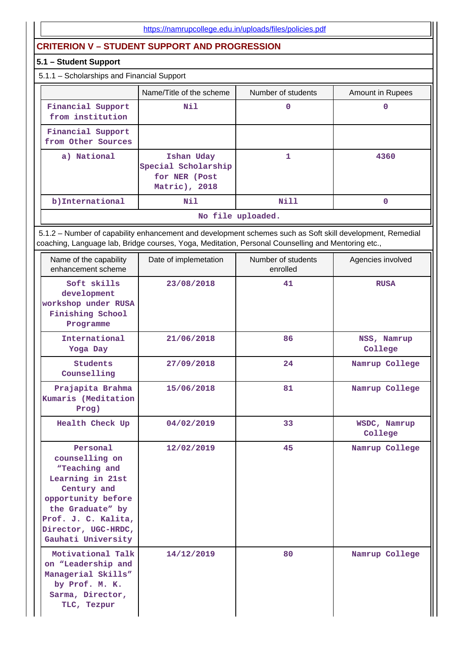# **CRITERION V – STUDENT SUPPORT AND PROGRESSION**

#### **5.1 – Student Support**

# 5.1.1 – Scholarships and Financial Support

|                                         | Name/Title of the scheme                                            | Number of students | Amount in Rupees |
|-----------------------------------------|---------------------------------------------------------------------|--------------------|------------------|
| Financial Support<br>from institution   | Nil                                                                 | 0                  | 0                |
| Financial Support<br>from Other Sources |                                                                     |                    |                  |
| a) National                             | Ishan Uday<br>Special Scholarship<br>for NER (Post<br>Matric), 2018 |                    | 4360             |
| b)International                         | Nil                                                                 | Nill               |                  |
|                                         |                                                                     | No file uploaded.  |                  |

 5.1.2 – Number of capability enhancement and development schemes such as Soft skill development, Remedial coaching, Language lab, Bridge courses, Yoga, Meditation, Personal Counselling and Mentoring etc.,

| Name of the capability<br>enhancement scheme                                                                                                                                                 | Date of implemetation | Number of students<br>enrolled | Agencies involved       |
|----------------------------------------------------------------------------------------------------------------------------------------------------------------------------------------------|-----------------------|--------------------------------|-------------------------|
| Soft skills<br>development<br>workshop under RUSA<br>Finishing School<br>Programme                                                                                                           | 23/08/2018            | 41                             | <b>RUSA</b>             |
| International<br>Yoga Day                                                                                                                                                                    | 21/06/2018            | 86                             | NSS, Namrup<br>College  |
| <b>Students</b><br>Counselling                                                                                                                                                               | 27/09/2018            | 24                             | Namrup College          |
| Prajapita Brahma<br>Kumaris (Meditation<br>Prog)                                                                                                                                             | 15/06/2018            | 81                             | Namrup College          |
| Health Check Up                                                                                                                                                                              | 04/02/2019            | 33                             | WSDC, Namrup<br>College |
| Personal<br>counselling on<br>"Teaching and<br>Learning in 21st<br>Century and<br>opportunity before<br>the Graduate" by<br>Prof. J. C. Kalita,<br>Director, UGC-HRDC,<br>Gauhati University | 12/02/2019            | 45                             | Namrup College          |
| Motivational Talk<br>on "Leadership and<br>Managerial Skills"<br>by Prof. M. K.<br>Sarma, Director,<br>TLC, Tezpur                                                                           | 14/12/2019            | 80                             | Namrup College          |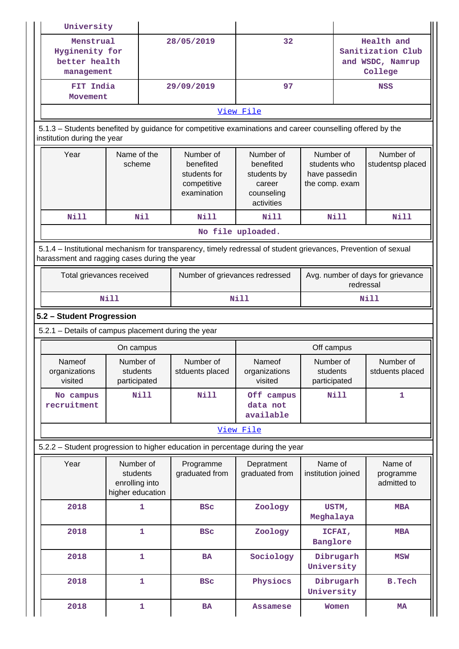| University                                                                                                                                                     |                                                             |              |                                                                      |                                                                             |                                                              |                                                                |                                     |  |  |
|----------------------------------------------------------------------------------------------------------------------------------------------------------------|-------------------------------------------------------------|--------------|----------------------------------------------------------------------|-----------------------------------------------------------------------------|--------------------------------------------------------------|----------------------------------------------------------------|-------------------------------------|--|--|
| Menstrual<br>Hyginenity for<br>better health<br>management                                                                                                     |                                                             |              | 28/05/2019                                                           | 32                                                                          |                                                              | Health and<br>Sanitization Club<br>and WSDC, Namrup<br>College |                                     |  |  |
| FIT India<br>Movement                                                                                                                                          |                                                             |              | 29/09/2019                                                           | 97                                                                          |                                                              |                                                                | <b>NSS</b>                          |  |  |
| View File                                                                                                                                                      |                                                             |              |                                                                      |                                                                             |                                                              |                                                                |                                     |  |  |
| 5.1.3 - Students benefited by guidance for competitive examinations and career counselling offered by the<br>institution during the year                       |                                                             |              |                                                                      |                                                                             |                                                              |                                                                |                                     |  |  |
| Year                                                                                                                                                           | Name of the<br>scheme                                       |              | Number of<br>benefited<br>students for<br>competitive<br>examination | Number of<br>benefited<br>students by<br>career<br>counseling<br>activities | Number of<br>students who<br>have passedin<br>the comp. exam |                                                                | Number of<br>studentsp placed       |  |  |
| <b>Nill</b>                                                                                                                                                    |                                                             | Nil          | Nill                                                                 | Nill                                                                        |                                                              | Nill                                                           | <b>Nill</b>                         |  |  |
|                                                                                                                                                                |                                                             |              |                                                                      | No file uploaded.                                                           |                                                              |                                                                |                                     |  |  |
| 5.1.4 – Institutional mechanism for transparency, timely redressal of student grievances, Prevention of sexual<br>harassment and ragging cases during the year |                                                             |              |                                                                      |                                                                             |                                                              |                                                                |                                     |  |  |
| Total grievances received                                                                                                                                      |                                                             |              | Number of grievances redressed                                       | Avg. number of days for grievance<br>redressal                              |                                                              |                                                                |                                     |  |  |
|                                                                                                                                                                | Nill                                                        |              |                                                                      | Nill                                                                        |                                                              |                                                                | Nill                                |  |  |
| 5.2 - Student Progression                                                                                                                                      |                                                             |              |                                                                      |                                                                             |                                                              |                                                                |                                     |  |  |
| 5.2.1 - Details of campus placement during the year                                                                                                            |                                                             |              |                                                                      |                                                                             |                                                              |                                                                |                                     |  |  |
|                                                                                                                                                                |                                                             |              |                                                                      |                                                                             |                                                              |                                                                |                                     |  |  |
|                                                                                                                                                                | On campus                                                   |              |                                                                      |                                                                             | Off campus                                                   |                                                                |                                     |  |  |
| Nameof<br>organizations<br>visited                                                                                                                             | Number of<br>students<br>participated                       |              | Number of<br>stduents placed                                         | Nameof<br>organizations<br>visited                                          | Number of<br>students<br>participated                        |                                                                | Number of<br>stduents placed        |  |  |
| No campus<br>recruitment                                                                                                                                       |                                                             | Nill         | Nill                                                                 | Off campus<br>data not<br>available                                         |                                                              | <b>Nill</b>                                                    | 1                                   |  |  |
|                                                                                                                                                                |                                                             |              |                                                                      | View File                                                                   |                                                              |                                                                |                                     |  |  |
| 5.2.2 - Student progression to higher education in percentage during the year                                                                                  |                                                             |              |                                                                      |                                                                             |                                                              |                                                                |                                     |  |  |
| Year                                                                                                                                                           | Number of<br>students<br>enrolling into<br>higher education |              | Programme<br>graduated from                                          | Depratment<br>graduated from                                                | Name of<br>institution joined                                |                                                                | Name of<br>programme<br>admitted to |  |  |
| 2018                                                                                                                                                           |                                                             | 1            | <b>BSC</b>                                                           | Zoology                                                                     | Meghalaya                                                    | USTM,                                                          | <b>MBA</b>                          |  |  |
| 2018                                                                                                                                                           |                                                             | 1            | <b>BSC</b>                                                           | Zoology                                                                     | Banglore                                                     | ICFAI,                                                         | <b>MBA</b>                          |  |  |
| 2018                                                                                                                                                           |                                                             | 1            | <b>BA</b>                                                            | Sociology                                                                   | University                                                   | Dibrugarh                                                      | <b>MSW</b>                          |  |  |
| 2018                                                                                                                                                           |                                                             | $\mathbf{1}$ | <b>BSC</b>                                                           | Physiocs                                                                    | University                                                   | Dibrugarh                                                      | <b>B.Tech</b>                       |  |  |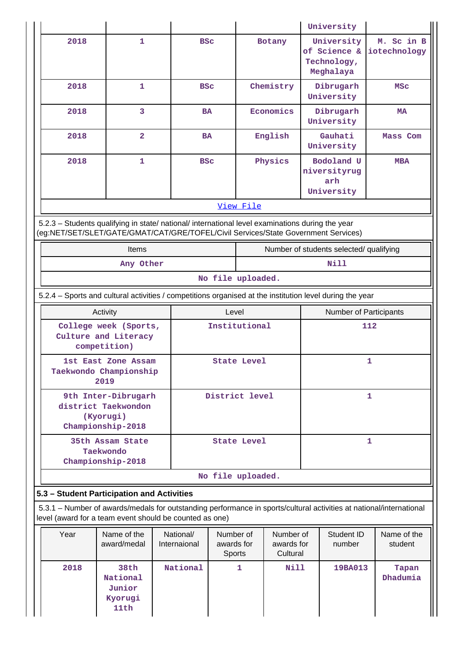|                                                                                                                                                                                        |                                                                              |                           |                                   |              |                                     |                        | University                                             |                                                                                                                     |
|----------------------------------------------------------------------------------------------------------------------------------------------------------------------------------------|------------------------------------------------------------------------------|---------------------------|-----------------------------------|--------------|-------------------------------------|------------------------|--------------------------------------------------------|---------------------------------------------------------------------------------------------------------------------|
| 2018                                                                                                                                                                                   | 1                                                                            | <b>BSC</b>                |                                   |              | Botany                              |                        | University<br>of Science &<br>Technology,<br>Meghalaya | M. Sc in B<br>iotechnology                                                                                          |
| 2018                                                                                                                                                                                   | 1                                                                            | <b>BSC</b>                |                                   |              | Chemistry                           |                        | Dibrugarh<br>University                                | MSC                                                                                                                 |
| 2018                                                                                                                                                                                   | 3                                                                            | <b>BA</b>                 |                                   |              | Economics                           |                        | Dibrugarh<br>University                                | MA                                                                                                                  |
| 2018                                                                                                                                                                                   | $\overline{2}$                                                               | <b>BA</b>                 |                                   |              | English                             |                        | Gauhati<br>University                                  | Mass Com                                                                                                            |
| 2018                                                                                                                                                                                   | $\mathbf{1}$                                                                 | <b>BSC</b>                |                                   |              | Physics                             |                        | Bodoland U<br>niversityrug<br>arh<br>University        | <b>MBA</b>                                                                                                          |
|                                                                                                                                                                                        |                                                                              |                           |                                   | View File    |                                     |                        |                                                        |                                                                                                                     |
| 5.2.3 - Students qualifying in state/ national/ international level examinations during the year<br>(eg:NET/SET/SLET/GATE/GMAT/CAT/GRE/TOFEL/Civil Services/State Government Services) |                                                                              |                           |                                   |              |                                     |                        |                                                        |                                                                                                                     |
|                                                                                                                                                                                        | Items                                                                        |                           |                                   |              |                                     |                        | Number of students selected/ qualifying                |                                                                                                                     |
|                                                                                                                                                                                        | Any Other                                                                    |                           |                                   |              |                                     |                        | Nill                                                   |                                                                                                                     |
|                                                                                                                                                                                        |                                                                              |                           | No file uploaded.                 |              |                                     |                        |                                                        |                                                                                                                     |
| 5.2.4 – Sports and cultural activities / competitions organised at the institution level during the year                                                                               |                                                                              |                           |                                   |              |                                     |                        |                                                        |                                                                                                                     |
|                                                                                                                                                                                        | Activity                                                                     |                           | Level                             |              |                                     | Number of Participants |                                                        |                                                                                                                     |
|                                                                                                                                                                                        | College week (Sports,<br>Culture and Literacy<br>competition)                |                           | Institutional                     |              |                                     |                        |                                                        | 112                                                                                                                 |
|                                                                                                                                                                                        | 1st East Zone Assam<br>Taekwondo Championship<br>2019                        |                           | <b>State Level</b>                |              |                                     |                        |                                                        | 1                                                                                                                   |
|                                                                                                                                                                                        | 9th Inter-Dibrugarh<br>district Taekwondon<br>(Kyorugi)<br>Championship-2018 |                           | District level                    |              |                                     |                        |                                                        | 1                                                                                                                   |
|                                                                                                                                                                                        | 35th Assam State<br>Taekwondo<br>Championship-2018                           |                           | <b>State Level</b>                |              |                                     |                        |                                                        | $\mathbf{1}$                                                                                                        |
|                                                                                                                                                                                        |                                                                              |                           | No file uploaded.                 |              |                                     |                        |                                                        |                                                                                                                     |
| 5.3 - Student Participation and Activities                                                                                                                                             |                                                                              |                           |                                   |              |                                     |                        |                                                        |                                                                                                                     |
| level (award for a team event should be counted as one)                                                                                                                                |                                                                              |                           |                                   |              |                                     |                        |                                                        | 5.3.1 - Number of awards/medals for outstanding performance in sports/cultural activities at national/international |
| Year                                                                                                                                                                                   | Name of the<br>award/medal                                                   | National/<br>Internaional | Number of<br>awards for<br>Sports |              | Number of<br>awards for<br>Cultural |                        | Student ID<br>number                                   | Name of the<br>student                                                                                              |
| 2018                                                                                                                                                                                   | 38th<br>National<br>Junior<br>Kyorugi<br>11th                                | National                  |                                   | $\mathbf{1}$ | <b>Nill</b>                         |                        | 19BA013                                                | Tapan<br>Dhadumia                                                                                                   |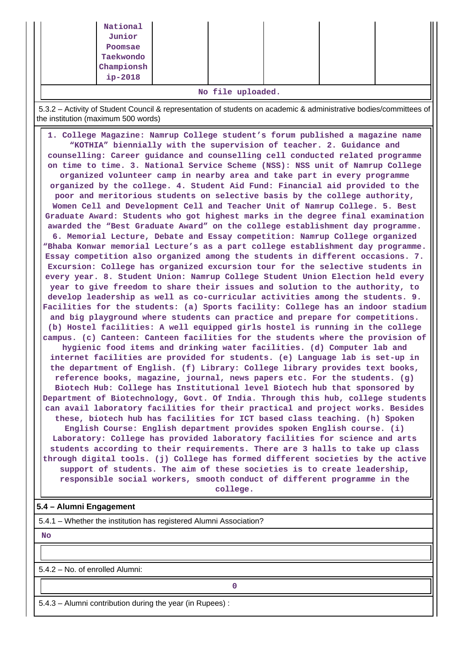| Junior     |  |  |  |
|------------|--|--|--|
| Poomsae    |  |  |  |
| Taekwondo  |  |  |  |
| Championsh |  |  |  |
| ip-2018    |  |  |  |
|            |  |  |  |

**No file uploaded.**

 5.3.2 – Activity of Student Council & representation of students on academic & administrative bodies/committees of the institution (maximum 500 words)

 **1. College Magazine: Namrup College student's forum published a magazine name "KOTHIA" biennially with the supervision of teacher. 2. Guidance and counselling: Career guidance and counselling cell conducted related programme on time to time. 3. National Service Scheme (NSS): NSS unit of Namrup College organized volunteer camp in nearby area and take part in every programme organized by the college. 4. Student Aid Fund: Financial aid provided to the poor and meritorious students on selective basis by the college authority, Women Cell and Development Cell and Teacher Unit of Namrup College. 5. Best Graduate Award: Students who got highest marks in the degree final examination awarded the "Best Graduate Award" on the college establishment day programme. 6. Memorial Lecture, Debate and Essay competition: Namrup College organized "Bhaba Konwar memorial Lecture's as a part college establishment day programme. Essay competition also organized among the students in different occasions. 7. Excursion: College has organized excursion tour for the selective students in every year. 8. Student Union: Namrup College Student Union Election held every year to give freedom to share their issues and solution to the authority, to develop leadership as well as co-curricular activities among the students. 9. Facilities for the students: (a) Sports facility: College has an indoor stadium and big playground where students can practice and prepare for competitions. (b) Hostel facilities: A well equipped girls hostel is running in the college campus. (c) Canteen: Canteen facilities for the students where the provision of hygienic food items and drinking water facilities. (d) Computer lab and internet facilities are provided for students. (e) Language lab is set-up in the department of English. (f) Library: College library provides text books, reference books, magazine, journal, news papers etc. For the students. (g) Biotech Hub: College has Institutional level Biotech hub that sponsored by Department of Biotechnology, Govt. Of India. Through this hub, college students can avail laboratory facilities for their practical and project works. Besides these, biotech hub has facilities for ICT based class teaching. (h) Spoken English Course: English department provides spoken English course. (i) Laboratory: College has provided laboratory facilities for science and arts students according to their requirements. There are 3 halls to take up class through digital tools. (j) College has formed different societies by the active support of students. The aim of these societies is to create leadership, responsible social workers, smooth conduct of different programme in the college.**

#### **5.4 – Alumni Engagement**

5.4.1 – Whether the institution has registered Alumni Association?

 **No**

5.4.2 – No. of enrolled Alumni:

**0**

5.4.3 – Alumni contribution during the year (in Rupees) :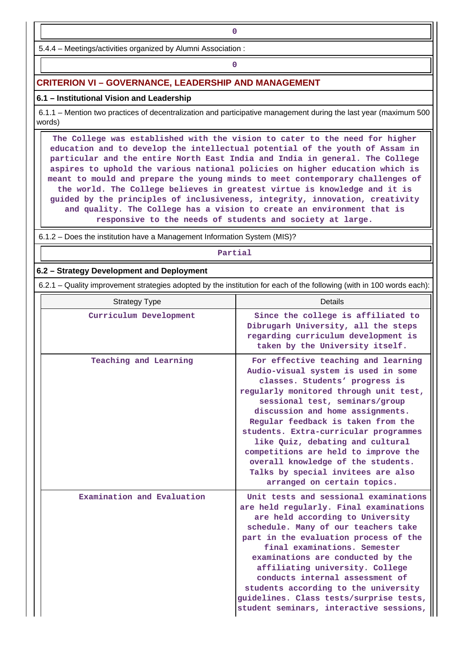5.4.4 – Meetings/activities organized by Alumni Association :

# **0**

#### **CRITERION VI – GOVERNANCE, LEADERSHIP AND MANAGEMENT**

#### **6.1 – Institutional Vision and Leadership**

 6.1.1 – Mention two practices of decentralization and participative management during the last year (maximum 500 words)

 **The College was established with the vision to cater to the need for higher education and to develop the intellectual potential of the youth of Assam in particular and the entire North East India and India in general. The College aspires to uphold the various national policies on higher education which is meant to mould and prepare the young minds to meet contemporary challenges of the world. The College believes in greatest virtue is knowledge and it is guided by the principles of inclusiveness, integrity, innovation, creativity and quality. The College has a vision to create an environment that is responsive to the needs of students and society at large.**

6.1.2 – Does the institution have a Management Information System (MIS)?

#### **Partial**

#### **6.2 – Strategy Development and Deployment**

6.2.1 – Quality improvement strategies adopted by the institution for each of the following (with in 100 words each):

| <b>Strategy Type</b>       | <b>Details</b>                                                                                                                                                                                                                                                                                                                                                                                                                                                                                     |
|----------------------------|----------------------------------------------------------------------------------------------------------------------------------------------------------------------------------------------------------------------------------------------------------------------------------------------------------------------------------------------------------------------------------------------------------------------------------------------------------------------------------------------------|
| Curriculum Development     | Since the college is affiliated to<br>Dibrugarh University, all the steps<br>regarding curriculum development is<br>taken by the University itself.                                                                                                                                                                                                                                                                                                                                                |
| Teaching and Learning      | For effective teaching and learning<br>Audio-visual system is used in some<br>classes. Students' progress is<br>regularly monitored through unit test,<br>sessional test, seminars/group<br>discussion and home assignments.<br>Regular feedback is taken from the<br>students. Extra-curricular programmes<br>like Quiz, debating and cultural<br>competitions are held to improve the<br>overall knowledge of the students.<br>Talks by special invitees are also<br>arranged on certain topics. |
| Examination and Evaluation | Unit tests and sessional examinations<br>are held regularly. Final examinations<br>are held according to University<br>schedule. Many of our teachers take<br>part in the evaluation process of the<br>final examinations. Semester<br>examinations are conducted by the<br>affiliating university. College<br>conducts internal assessment of<br>students according to the university<br>guidelines. Class tests/surprise tests,<br>student seminars, interactive sessions,                       |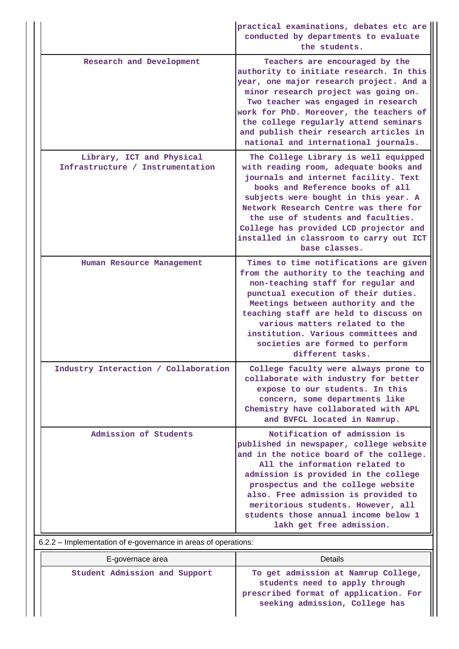|                                                                | practical examinations, debates etc are<br>conducted by departments to evaluate<br>the students.                                                                                                                                                                                                                                                                                       |
|----------------------------------------------------------------|----------------------------------------------------------------------------------------------------------------------------------------------------------------------------------------------------------------------------------------------------------------------------------------------------------------------------------------------------------------------------------------|
| Research and Development                                       | Teachers are encouraged by the<br>authority to initiate research. In this<br>year, one major research project. And a<br>minor research project was going on.<br>Two teacher was engaged in research<br>work for PhD. Moreover, the teachers of<br>the college regularly attend seminars<br>and publish their research articles in<br>national and international journals.              |
| Library, ICT and Physical<br>Infrastructure / Instrumentation  | The College Library is well equipped<br>with reading room, adequate books and<br>journals and internet facility. Text<br>books and Reference books of all<br>subjects were bought in this year. A<br>Network Research Centre was there for<br>the use of students and faculties.<br>College has provided LCD projector and<br>installed in classroom to carry out ICT<br>base classes. |
| Human Resource Management                                      | Times to time notifications are given<br>from the authority to the teaching and<br>non-teaching staff for regular and<br>punctual execution of their duties.<br>Meetings between authority and the<br>teaching staff are held to discuss on<br>various matters related to the<br>institution. Various committees and<br>societies are formed to perform<br>different tasks.            |
| Industry Interaction / Collaboration                           | College faculty were always prone to<br>collaborate with industry for better<br>expose to our students. In this<br>concern, some departments like<br>Chemistry have collaborated with APL<br>and BVFCL located in Namrup.                                                                                                                                                              |
| Admission of Students                                          | Notification of admission is<br>published in newspaper, college website<br>and in the notice board of the college.<br>All the information related to<br>admission is provided in the college<br>prospectus and the college website<br>also. Free admission is provided to<br>meritorious students. However, all<br>students those annual income below 1<br>lakh get free admission.    |
| 6.2.2 – Implementation of e-governance in areas of operations: |                                                                                                                                                                                                                                                                                                                                                                                        |

| E-governace area              | Details                                                                                                                                          |
|-------------------------------|--------------------------------------------------------------------------------------------------------------------------------------------------|
| Student Admission and Support | To get admission at Namrup College,<br>students need to apply through<br>prescribed format of application. For<br>seeking admission, College has |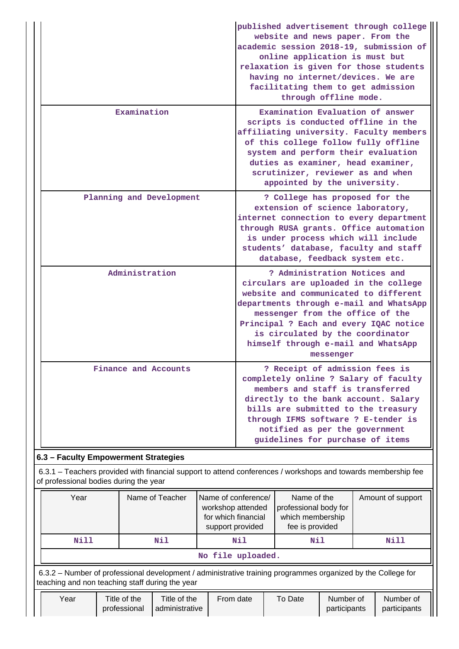|                                                                                                                |                      |  |                                                                                                                                                                                                                                                                                                                                 | published advertisement through college<br>website and news paper. From the<br>academic session 2018-19, submission of<br>online application is must but<br>relaxation is given for those students<br>having no internet/devices. We are<br>facilitating them to get admission<br>through offline mode.      |                   |  |
|----------------------------------------------------------------------------------------------------------------|----------------------|--|---------------------------------------------------------------------------------------------------------------------------------------------------------------------------------------------------------------------------------------------------------------------------------------------------------------------------------|--------------------------------------------------------------------------------------------------------------------------------------------------------------------------------------------------------------------------------------------------------------------------------------------------------------|-------------------|--|
| Examination                                                                                                    |                      |  |                                                                                                                                                                                                                                                                                                                                 | Examination Evaluation of answer<br>scripts is conducted offline in the<br>affiliating university. Faculty members<br>of this college follow fully offline<br>system and perform their evaluation<br>duties as examiner, head examiner,<br>scrutinizer, reviewer as and when<br>appointed by the university. |                   |  |
| Planning and Development                                                                                       |                      |  |                                                                                                                                                                                                                                                                                                                                 | ? College has proposed for the<br>extension of science laboratory,<br>internet connection to every department<br>through RUSA grants. Office automation<br>is under process which will include<br>students' database, faculty and staff<br>database, feedback system etc.                                    |                   |  |
|                                                                                                                | Administration       |  | ? Administration Notices and<br>circulars are uploaded in the college<br>website and communicated to different<br>departments through e-mail and WhatsApp<br>messenger from the office of the<br>Principal ? Each and every IQAC notice<br>is circulated by the coordinator<br>himself through e-mail and WhatsApp<br>messenger |                                                                                                                                                                                                                                                                                                              |                   |  |
|                                                                                                                | Finance and Accounts |  | ? Receipt of admission fees is<br>completely online ? Salary of faculty<br>members and staff is transferred<br>directly to the bank account. Salary<br>bills are submitted to the treasury<br>through IFMS software ? E-tender is<br>notified as per the government<br>guidelines for purchase of items                         |                                                                                                                                                                                                                                                                                                              |                   |  |
| 6.3 - Faculty Empowerment Strategies                                                                           |                      |  |                                                                                                                                                                                                                                                                                                                                 |                                                                                                                                                                                                                                                                                                              |                   |  |
| of professional bodies during the year                                                                         |                      |  |                                                                                                                                                                                                                                                                                                                                 | 6.3.1 - Teachers provided with financial support to attend conferences / workshops and towards membership fee                                                                                                                                                                                                |                   |  |
| Year<br>Name of Teacher<br>Name of conference/<br>workshop attended<br>for which financial<br>support provided |                      |  |                                                                                                                                                                                                                                                                                                                                 | Name of the<br>professional body for<br>which membership<br>fee is provided                                                                                                                                                                                                                                  | Amount of support |  |
| Nill                                                                                                           | Nil                  |  | Nil                                                                                                                                                                                                                                                                                                                             | Nil                                                                                                                                                                                                                                                                                                          | Nill              |  |
|                                                                                                                |                      |  | No file uploaded.                                                                                                                                                                                                                                                                                                               |                                                                                                                                                                                                                                                                                                              |                   |  |
| teaching and non teaching staff during the year                                                                |                      |  |                                                                                                                                                                                                                                                                                                                                 | 6.3.2 – Number of professional development / administrative training programmes organized by the College for                                                                                                                                                                                                 |                   |  |

| Year | Title of the |                | date<br>From | To Date | Number of    | Number of    |
|------|--------------|----------------|--------------|---------|--------------|--------------|
|      | professional | administrative |              |         | participants | participants |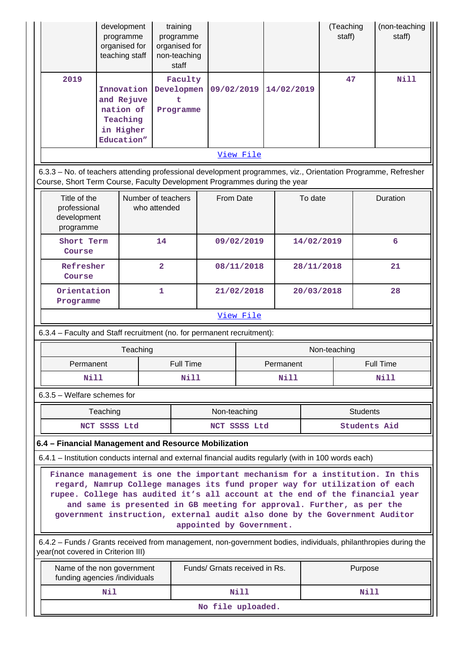|                                                                                                                                                                                                                                                                                                                                                                                                                               |              | development<br>programme<br>organised for<br>teaching staff                  |                         | training<br>programme<br>organised for<br>non-teaching<br>staff |                               |              |  |                           |                     | (Teaching<br>staff) |                 | (non-teaching<br>staff) |
|-------------------------------------------------------------------------------------------------------------------------------------------------------------------------------------------------------------------------------------------------------------------------------------------------------------------------------------------------------------------------------------------------------------------------------|--------------|------------------------------------------------------------------------------|-------------------------|-----------------------------------------------------------------|-------------------------------|--------------|--|---------------------------|---------------------|---------------------|-----------------|-------------------------|
| 2019                                                                                                                                                                                                                                                                                                                                                                                                                          |              | Innovation<br>and Rejuve<br>nation of<br>Teaching<br>in Higher<br>Education" |                         | Faculty<br>Developmen<br>t.<br>Programme                        | 09/02/2019                    |              |  | 14/02/2019                |                     | 47                  |                 | <b>Nill</b>             |
|                                                                                                                                                                                                                                                                                                                                                                                                                               |              |                                                                              |                         |                                                                 |                               | View File    |  |                           |                     |                     |                 |                         |
| 6.3.3 - No. of teachers attending professional development programmes, viz., Orientation Programme, Refresher<br>Course, Short Term Course, Faculty Development Programmes during the year                                                                                                                                                                                                                                    |              |                                                                              |                         |                                                                 |                               |              |  |                           |                     |                     |                 |                         |
| Title of the<br>professional<br>development<br>programme                                                                                                                                                                                                                                                                                                                                                                      |              | Number of teachers                                                           | who attended            |                                                                 | From Date                     |              |  |                           | To date             |                     |                 | Duration                |
| Short Term<br>Course                                                                                                                                                                                                                                                                                                                                                                                                          |              |                                                                              | 14                      |                                                                 |                               | 09/02/2019   |  |                           | 14/02/2019          |                     |                 | 6                       |
| Refresher<br>Course                                                                                                                                                                                                                                                                                                                                                                                                           |              |                                                                              | $\overline{\mathbf{2}}$ |                                                                 |                               | 08/11/2018   |  |                           | 28/11/2018          |                     | 21              |                         |
| Orientation<br>Programme                                                                                                                                                                                                                                                                                                                                                                                                      |              |                                                                              | 1                       | 21/02/2018                                                      |                               |              |  | 20/03/2018                |                     |                     | 28              |                         |
|                                                                                                                                                                                                                                                                                                                                                                                                                               |              |                                                                              |                         |                                                                 |                               | View File    |  |                           |                     |                     |                 |                         |
| 6.3.4 - Faculty and Staff recruitment (no. for permanent recruitment):                                                                                                                                                                                                                                                                                                                                                        |              |                                                                              |                         |                                                                 |                               |              |  |                           |                     |                     |                 |                         |
|                                                                                                                                                                                                                                                                                                                                                                                                                               |              | Teaching                                                                     |                         |                                                                 |                               |              |  | Non-teaching<br>Full Time |                     |                     |                 |                         |
| Permanent<br>Nill                                                                                                                                                                                                                                                                                                                                                                                                             |              |                                                                              |                         | Full Time<br>Nill                                               | Permanent                     |              |  | Nill                      | Nill                |                     |                 |                         |
| $6.3.5$ – Welfare schemes for                                                                                                                                                                                                                                                                                                                                                                                                 |              |                                                                              |                         |                                                                 |                               |              |  |                           |                     |                     |                 |                         |
|                                                                                                                                                                                                                                                                                                                                                                                                                               | Teaching     |                                                                              |                         |                                                                 | Non-teaching                  |              |  |                           |                     |                     | <b>Students</b> |                         |
|                                                                                                                                                                                                                                                                                                                                                                                                                               | NCT SSSS Ltd |                                                                              |                         |                                                                 |                               | NCT SSSS Ltd |  |                           | <b>Students Aid</b> |                     |                 |                         |
| 6.4 - Financial Management and Resource Mobilization                                                                                                                                                                                                                                                                                                                                                                          |              |                                                                              |                         |                                                                 |                               |              |  |                           |                     |                     |                 |                         |
| 6.4.1 - Institution conducts internal and external financial audits regularly (with in 100 words each)                                                                                                                                                                                                                                                                                                                        |              |                                                                              |                         |                                                                 |                               |              |  |                           |                     |                     |                 |                         |
| Finance management is one the important mechanism for a institution. In this<br>regard, Namrup College manages its fund proper way for utilization of each<br>rupee. College has audited it's all account at the end of the financial year<br>and same is presented in GB meeting for approval. Further, as per the<br>government instruction, external audit also done by the Government Auditor<br>appointed by Government. |              |                                                                              |                         |                                                                 |                               |              |  |                           |                     |                     |                 |                         |
| 6.4.2 - Funds / Grants received from management, non-government bodies, individuals, philanthropies during the<br>year(not covered in Criterion III)                                                                                                                                                                                                                                                                          |              |                                                                              |                         |                                                                 |                               |              |  |                           |                     |                     |                 |                         |
| Name of the non government<br>funding agencies /individuals                                                                                                                                                                                                                                                                                                                                                                   |              |                                                                              |                         |                                                                 | Funds/ Grnats received in Rs. |              |  |                           |                     |                     | Purpose         |                         |
|                                                                                                                                                                                                                                                                                                                                                                                                                               | Nil          |                                                                              |                         |                                                                 |                               | <b>Nill</b>  |  |                           |                     |                     | Nill            |                         |
| No file uploaded.                                                                                                                                                                                                                                                                                                                                                                                                             |              |                                                                              |                         |                                                                 |                               |              |  |                           |                     |                     |                 |                         |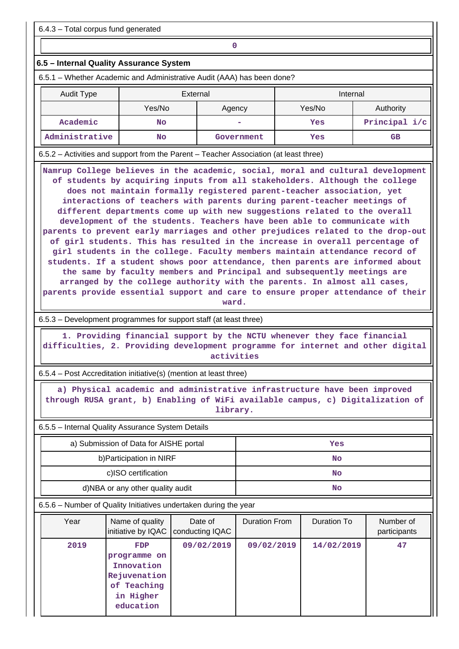6.4.3 – Total corpus fund generated

## **0**

#### **6.5 – Internal Quality Assurance System**

6.5.1 – Whether Academic and Administrative Audit (AAA) has been done?

| <b>Audit Type</b> | External         |            | Internal |               |  |
|-------------------|------------------|------------|----------|---------------|--|
|                   | Yes/No<br>Agency |            | Yes/No   | Authority     |  |
| Academic          | No               |            | Yes      | Principal i/c |  |
| Administrative    | No               | Government | Yes      | GB            |  |

6.5.2 – Activities and support from the Parent – Teacher Association (at least three)

 **Namrup College believes in the academic, social, moral and cultural development of students by acquiring inputs from all stakeholders. Although the college does not maintain formally registered parent-teacher association, yet interactions of teachers with parents during parent-teacher meetings of different departments come up with new suggestions related to the overall development of the students. Teachers have been able to communicate with parents to prevent early marriages and other prejudices related to the drop-out of girl students. This has resulted in the increase in overall percentage of girl students in the college. Faculty members maintain attendance record of students. If a student shows poor attendance, then parents are informed about the same by faculty members and Principal and subsequently meetings are arranged by the college authority with the parents. In almost all cases, parents provide essential support and care to ensure proper attendance of their**

**ward.**

6.5.3 – Development programmes for support staff (at least three)

 **1. Providing financial support by the NCTU whenever they face financial difficulties, 2. Providing development programme for internet and other digital activities**

6.5.4 – Post Accreditation initiative(s) (mention at least three)

 **a) Physical academic and administrative infrastructure have been improved through RUSA grant, b) Enabling of WiFi available campus, c) Digitalization of library.**

6.5.5 – Internal Quality Assurance System Details

| a) Submission of Data for AISHE portal | Yes |
|----------------------------------------|-----|
| b) Participation in NIRF               | No  |
| c)ISO certification                    | No  |
| d)NBA or any other quality audit       | No  |

6.5.6 – Number of Quality Initiatives undertaken during the year

| Year | Name of quality<br>initiative by IQAC   conducting IQAC                                    | Date of    | Duration From | Duration To | Number of<br>participants |
|------|--------------------------------------------------------------------------------------------|------------|---------------|-------------|---------------------------|
| 2019 | FDP<br>programme on<br>Innovation<br>Rejuvenation<br>of Teaching<br>in Higher<br>education | 09/02/2019 | 09/02/2019    | 14/02/2019  | 47                        |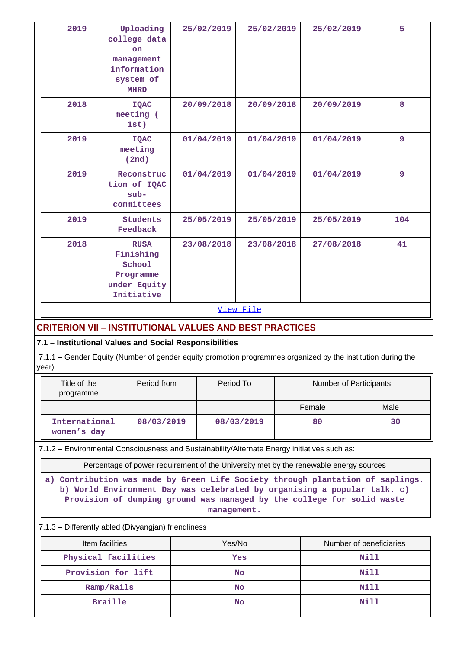| 2019                                                                                                                                                                                                                                                | Uploading<br>college data<br><b>on</b><br>management<br>information<br>system of<br><b>MHRD</b> |  | 25/02/2019 | 25/02/2019 |      | 25/02/2019             | 5           |  |  |
|-----------------------------------------------------------------------------------------------------------------------------------------------------------------------------------------------------------------------------------------------------|-------------------------------------------------------------------------------------------------|--|------------|------------|------|------------------------|-------------|--|--|
| 2018                                                                                                                                                                                                                                                | <b>IQAC</b><br>meeting (<br>1st)                                                                |  | 20/09/2018 | 20/09/2018 |      | 20/09/2019             | 8           |  |  |
| 2019                                                                                                                                                                                                                                                | <b>IQAC</b><br>meeting<br>(2nd)                                                                 |  | 01/04/2019 | 01/04/2019 |      | 01/04/2019             | 9           |  |  |
| 2019                                                                                                                                                                                                                                                | Reconstruc<br>tion of IQAC<br>$sub-$<br>committees                                              |  | 01/04/2019 | 01/04/2019 |      | 01/04/2019             | 9           |  |  |
| 2019                                                                                                                                                                                                                                                | <b>Students</b><br>Feedback                                                                     |  | 25/05/2019 | 25/05/2019 |      | 25/05/2019             | 104         |  |  |
| 2018                                                                                                                                                                                                                                                | <b>RUSA</b><br>Finishing<br>School<br>Programme<br>under Equity<br>Initiative                   |  | 23/08/2018 | 23/08/2018 |      | 27/08/2018             | 41          |  |  |
|                                                                                                                                                                                                                                                     | View File                                                                                       |  |            |            |      |                        |             |  |  |
| <b>CRITERION VII - INSTITUTIONAL VALUES AND BEST PRACTICES</b>                                                                                                                                                                                      |                                                                                                 |  |            |            |      |                        |             |  |  |
| 7.1 - Institutional Values and Social Responsibilities                                                                                                                                                                                              |                                                                                                 |  |            |            |      |                        |             |  |  |
| 7.1.1 – Gender Equity (Number of gender equity promotion programmes organized by the institution during the<br>year)                                                                                                                                |                                                                                                 |  |            |            |      |                        |             |  |  |
| Title of the<br>programme                                                                                                                                                                                                                           | Period from                                                                                     |  | Period To  |            |      | Number of Participants |             |  |  |
|                                                                                                                                                                                                                                                     |                                                                                                 |  |            |            |      | Female                 | Male        |  |  |
| International<br>women's day                                                                                                                                                                                                                        | 08/03/2019                                                                                      |  |            | 08/03/2019 |      | 80<br>30               |             |  |  |
| 7.1.2 - Environmental Consciousness and Sustainability/Alternate Energy initiatives such as:                                                                                                                                                        |                                                                                                 |  |            |            |      |                        |             |  |  |
|                                                                                                                                                                                                                                                     | Percentage of power requirement of the University met by the renewable energy sources           |  |            |            |      |                        |             |  |  |
| a) Contribution was made by Green Life Society through plantation of saplings.<br>b) World Environment Day was celebrated by organising a popular talk. c)<br>Provision of dumping ground was managed by the college for solid waste<br>management. |                                                                                                 |  |            |            |      |                        |             |  |  |
| 7.1.3 - Differently abled (Divyangjan) friendliness                                                                                                                                                                                                 |                                                                                                 |  |            |            |      |                        |             |  |  |
| Yes/No<br>Number of beneficiaries<br>Item facilities                                                                                                                                                                                                |                                                                                                 |  |            |            |      |                        |             |  |  |
| Physical facilities                                                                                                                                                                                                                                 | Yes                                                                                             |  |            |            | Nill |                        |             |  |  |
|                                                                                                                                                                                                                                                     | Provision for lift                                                                              |  |            | <b>No</b>  |      |                        | <b>Nill</b> |  |  |
| Ramp/Rails                                                                                                                                                                                                                                          |                                                                                                 |  | No         |            |      | <b>Nill</b>            |             |  |  |
| <b>Braille</b>                                                                                                                                                                                                                                      |                                                                                                 |  | No         |            |      | <b>Nill</b>            |             |  |  |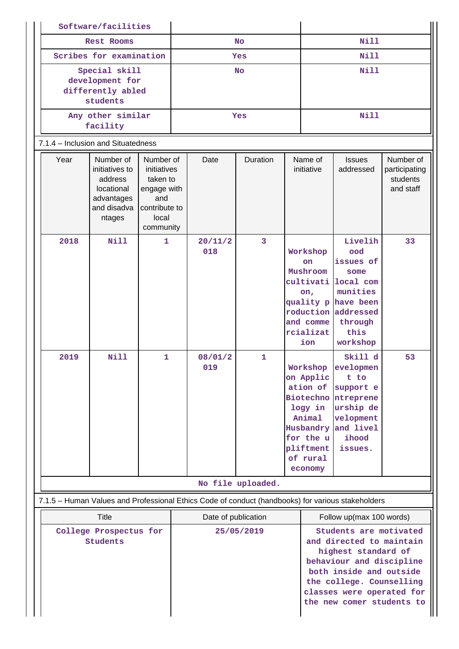| Software/facilities                                                                               |                                                                                             |                                                                                                   |                                   |                |              |                                                                                                                                                                                                                                                    |                                                                                                          |                                                                                                                                             |                                                     |
|---------------------------------------------------------------------------------------------------|---------------------------------------------------------------------------------------------|---------------------------------------------------------------------------------------------------|-----------------------------------|----------------|--------------|----------------------------------------------------------------------------------------------------------------------------------------------------------------------------------------------------------------------------------------------------|----------------------------------------------------------------------------------------------------------|---------------------------------------------------------------------------------------------------------------------------------------------|-----------------------------------------------------|
| Rest Rooms                                                                                        |                                                                                             |                                                                                                   | <b>No</b>                         |                |              | <b>Nill</b>                                                                                                                                                                                                                                        |                                                                                                          |                                                                                                                                             |                                                     |
| Scribes for examination                                                                           |                                                                                             |                                                                                                   | Yes                               |                |              | <b>Nill</b>                                                                                                                                                                                                                                        |                                                                                                          |                                                                                                                                             |                                                     |
| Special skill<br>development for<br>differently abled<br>students                                 |                                                                                             |                                                                                                   | <b>No</b>                         |                |              | <b>Nill</b>                                                                                                                                                                                                                                        |                                                                                                          |                                                                                                                                             |                                                     |
| Any other similar<br>facility                                                                     |                                                                                             |                                                                                                   | Yes                               |                |              | <b>Nill</b>                                                                                                                                                                                                                                        |                                                                                                          |                                                                                                                                             |                                                     |
|                                                                                                   | 7.1.4 – Inclusion and Situatedness                                                          |                                                                                                   |                                   |                |              |                                                                                                                                                                                                                                                    |                                                                                                          |                                                                                                                                             |                                                     |
| Year                                                                                              | Number of<br>initiatives to<br>address<br>locational<br>advantages<br>and disadva<br>ntages | Number of<br>initiatives<br>taken to<br>engage with<br>and<br>contribute to<br>local<br>community |                                   | Date           | Duration     |                                                                                                                                                                                                                                                    | Name of<br>initiative                                                                                    | <b>Issues</b><br>addressed                                                                                                                  | Number of<br>participating<br>students<br>and staff |
| 2018                                                                                              | <b>Nill</b>                                                                                 | $\mathbf{1}$                                                                                      |                                   | 20/11/2<br>018 | 3            |                                                                                                                                                                                                                                                    | Workshop<br><b>on</b><br>Mushroom<br>cultivati  <br>on <sub>r</sub><br>and comme<br>rcializat<br>ion     | Livelih<br>ood<br>issues of<br>some<br>local com<br>munities<br>quality p have been<br>roduction addressed<br>through<br>this<br>workshop   | 33                                                  |
| 2019                                                                                              | Nill                                                                                        | $\mathbf{1}$                                                                                      |                                   | 08/01/2<br>019 | $\mathbf{1}$ |                                                                                                                                                                                                                                                    | on Applic<br>ation of<br>logy in<br>Animal<br>Husbandry<br>for the u<br>pliftment<br>of rural<br>economy | Skill d<br>Workshop evelopmen<br>t to<br>support e<br><b>Biotechno</b> ntreprene<br>urship de<br>velopment<br>and livel<br>ihood<br>issues. | 53                                                  |
| No file uploaded.                                                                                 |                                                                                             |                                                                                                   |                                   |                |              |                                                                                                                                                                                                                                                    |                                                                                                          |                                                                                                                                             |                                                     |
| 7.1.5 - Human Values and Professional Ethics Code of conduct (handbooks) for various stakeholders |                                                                                             |                                                                                                   |                                   |                |              |                                                                                                                                                                                                                                                    |                                                                                                          |                                                                                                                                             |                                                     |
| <b>Title</b><br>College Prospectus for<br>Students                                                |                                                                                             |                                                                                                   | Date of publication<br>25/05/2019 |                |              | Follow up(max 100 words)<br>Students are motivated<br>and directed to maintain<br>highest standard of<br>behaviour and discipline<br>both inside and outside<br>the college. Counselling<br>classes were operated for<br>the new comer students to |                                                                                                          |                                                                                                                                             |                                                     |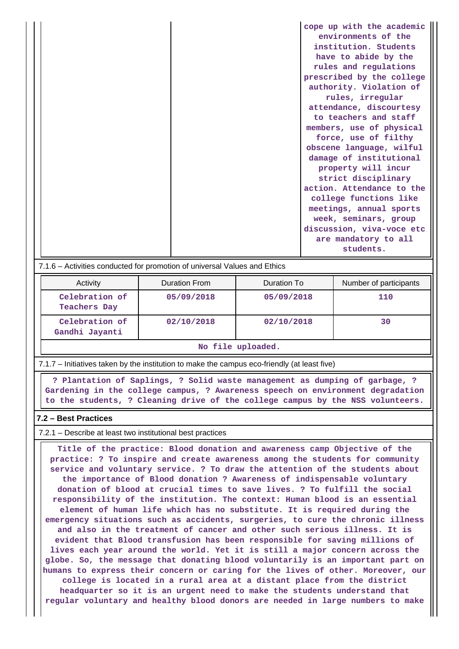| cope up with the academic |
|---------------------------|
| environments of the       |
| institution. Students     |
| have to abide by the      |
| rules and regulations     |
| prescribed by the college |
| authority. Violation of   |
| rules, irregular          |
| attendance, discourtesy   |
| to teachers and staff     |
| members, use of physical  |
| force, use of filthy      |
| obscene language, wilful  |
| damage of institutional   |
| property will incur       |
| strict disciplinary       |
| action. Attendance to the |
| college functions like    |
| meetings, annual sports   |
| week, seminars, group     |
| discussion, viva-voce etc |
| are mandatory to all      |
| students.                 |

#### 7.1.6 – Activities conducted for promotion of universal Values and Ethics

| Activity                         | Duration From | Duration To | Number of participants |  |  |
|----------------------------------|---------------|-------------|------------------------|--|--|
| Celebration of<br>Teachers Day   | 05/09/2018    | 05/09/2018  | 110                    |  |  |
| Celebration of<br>Gandhi Jayanti | 02/10/2018    | 02/10/2018  | 30                     |  |  |

#### **No file uploaded.**

7.1.7 – Initiatives taken by the institution to make the campus eco-friendly (at least five)

 **? Plantation of Saplings, ? Solid waste management as dumping of garbage, ? Gardening in the college campus, ? Awareness speech on environment degradation to the students, ? Cleaning drive of the college campus by the NSS volunteers.**

#### **7.2 – Best Practices**

 $\mathbf{1}$ 

7.2.1 – Describe at least two institutional best practices

 **Title of the practice: Blood donation and awareness camp Objective of the practice: ? To inspire and create awareness among the students for community service and voluntary service. ? To draw the attention of the students about the importance of Blood donation ? Awareness of indispensable voluntary donation of blood at crucial times to save lives. ? To fulfill the social responsibility of the institution. The context: Human blood is an essential element of human life which has no substitute. It is required during the emergency situations such as accidents, surgeries, to cure the chronic illness and also in the treatment of cancer and other such serious illness. It is evident that Blood transfusion has been responsible for saving millions of lives each year around the world. Yet it is still a major concern across the globe. So, the message that donating blood voluntarily is an important part on humans to express their concern or caring for the lives of other. Moreover, our college is located in a rural area at a distant place from the district headquarter so it is an urgent need to make the students understand that regular voluntary and healthy blood donors are needed in large numbers to make**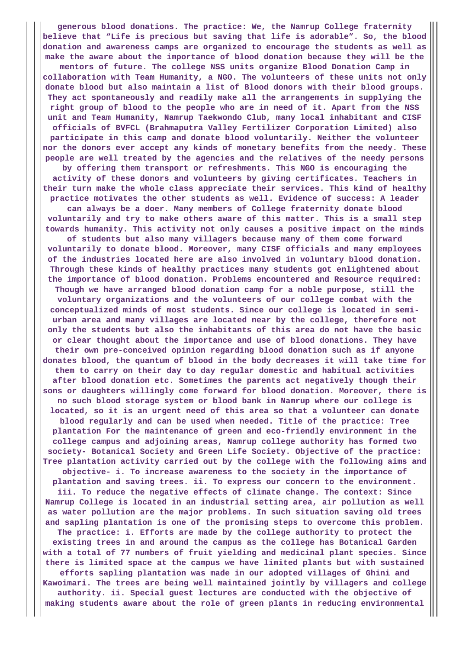**generous blood donations. The practice: We, the Namrup College fraternity believe that "Life is precious but saving that life is adorable". So, the blood donation and awareness camps are organized to encourage the students as well as make the aware about the importance of blood donation because they will be the mentors of future. The college NSS units organize Blood Donation Camp in collaboration with Team Humanity, a NGO. The volunteers of these units not only donate blood but also maintain a list of Blood donors with their blood groups. They act spontaneously and readily make all the arrangements in supplying the right group of blood to the people who are in need of it. Apart from the NSS unit and Team Humanity, Namrup Taekwondo Club, many local inhabitant and CISF officials of BVFCL (Brahmaputra Valley Fertilizer Corporation Limited) also participate in this camp and donate blood voluntarily. Neither the volunteer nor the donors ever accept any kinds of monetary benefits from the needy. These people are well treated by the agencies and the relatives of the needy persons by offering them transport or refreshments. This NGO is encouraging the activity of these donors and volunteers by giving certificates. Teachers in their turn make the whole class appreciate their services. This kind of healthy practice motivates the other students as well. Evidence of success: A leader can always be a doer. Many members of College fraternity donate blood voluntarily and try to make others aware of this matter. This is a small step towards humanity. This activity not only causes a positive impact on the minds of students but also many villagers because many of them come forward voluntarily to donate blood. Moreover, many CISF officials and many employees of the industries located here are also involved in voluntary blood donation. Through these kinds of healthy practices many students got enlightened about the importance of blood donation. Problems encountered and Resource required: Though we have arranged blood donation camp for a noble purpose, still the voluntary organizations and the volunteers of our college combat with the conceptualized minds of most students. Since our college is located in semiurban area and many villages are located near by the college, therefore not only the students but also the inhabitants of this area do not have the basic or clear thought about the importance and use of blood donations. They have their own pre-conceived opinion regarding blood donation such as if anyone donates blood, the quantum of blood in the body decreases it will take time for them to carry on their day to day regular domestic and habitual activities after blood donation etc. Sometimes the parents act negatively though their sons or daughters willingly come forward for blood donation. Moreover, there is no such blood storage system or blood bank in Namrup where our college is located, so it is an urgent need of this area so that a volunteer can donate blood regularly and can be used when needed. Title of the practice: Tree plantation For the maintenance of green and eco-friendly environment in the college campus and adjoining areas, Namrup college authority has formed two society- Botanical Society and Green Life Society. Objective of the practice: Tree plantation activity carried out by the college with the following aims and objective- i. To increase awareness to the society in the importance of plantation and saving trees. ii. To express our concern to the environment. iii. To reduce the negative effects of climate change. The context: Since Namrup College is located in an industrial setting area, air pollution as well as water pollution are the major problems. In such situation saving old trees and sapling plantation is one of the promising steps to overcome this problem. The practice: i. Efforts are made by the college authority to protect the existing trees in and around the campus as the college has Botanical Garden with a total of 77 numbers of fruit yielding and medicinal plant species. Since there is limited space at the campus we have limited plants but with sustained efforts sapling plantation was made in our adopted villages of Ghini and Kawoimari. The trees are being well maintained jointly by villagers and college authority. ii. Special guest lectures are conducted with the objective of making students aware about the role of green plants in reducing environmental**